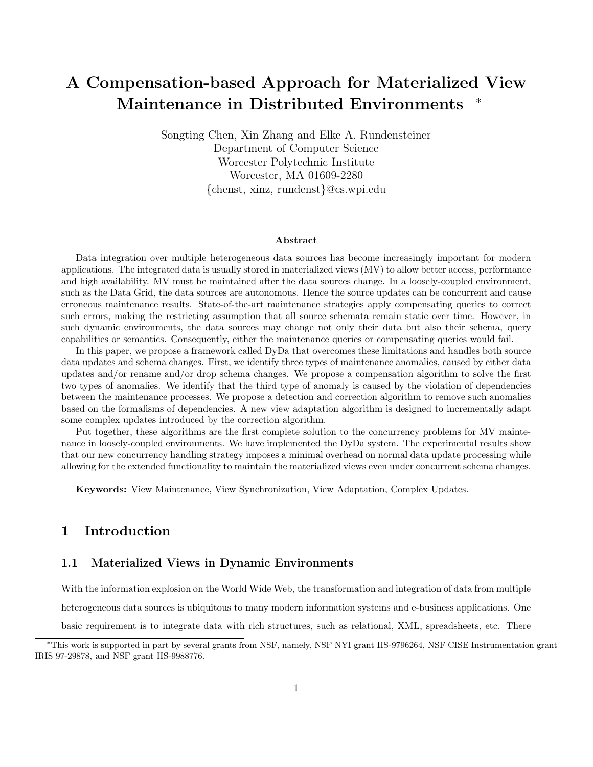# A Compensation-based Approach for Materialized View Maintenance in Distributed Environments

Songting Chen, Xin Zhang and Elke A. Rundensteiner Department of Computer Science Worcester Polytechnic Institute Worcester, MA 01609-2280 {chenst, xinz, rundenst}@cs.wpi.edu

#### Abstract

Data integration over multiple heterogeneous data sources has become increasingly important for modern applications. The integrated data is usually stored in materialized views (MV) to allow better access, performance and high availability. MV must be maintained after the data sources change. In a loosely-coupled environment, such as the Data Grid, the data sources are autonomous. Hence the source updates can be concurrent and cause erroneous maintenance results. State-of-the-art maintenance strategies apply compensating queries to correct such errors, making the restricting assumption that all source schemata remain static over time. However, in such dynamic environments, the data sources may change not only their data but also their schema, query capabilities or semantics. Consequently, either the maintenance queries or compensating queries would fail.

In this paper, we propose a framework called DyDa that overcomes these limitations and handles both source data updates and schema changes. First, we identify three types of maintenance anomalies, caused by either data updates and/or rename and/or drop schema changes. We propose a compensation algorithm to solve the first two types of anomalies. We identify that the third type of anomaly is caused by the violation of dependencies between the maintenance processes. We propose a detection and correction algorithm to remove such anomalies based on the formalisms of dependencies. A new view adaptation algorithm is designed to incrementally adapt some complex updates introduced by the correction algorithm.

Put together, these algorithms are the first complete solution to the concurrency problems for MV maintenance in loosely-coupled environments. We have implemented the DyDa system. The experimental results show that our new concurrency handling strategy imposes a minimal overhead on normal data update processing while allowing for the extended functionality to maintain the materialized views even under concurrent schema changes.

Keywords: View Maintenance, View Synchronization, View Adaptation, Complex Updates.

### 1 Introduction

#### 1.1 Materialized Views in Dynamic Environments

With the information explosion on the World Wide Web, the transformation and integration of data from multiple

heterogeneous data sources is ubiquitous to many modern information systems and e-business applications. One

basic requirement is to integrate data with rich structures, such as relational, XML, spreadsheets, etc. There

<sup>∗</sup>This work is supported in part by several grants from NSF, namely, NSF NYI grant IIS-9796264, NSF CISE Instrumentation grant IRIS 97-29878, and NSF grant IIS-9988776.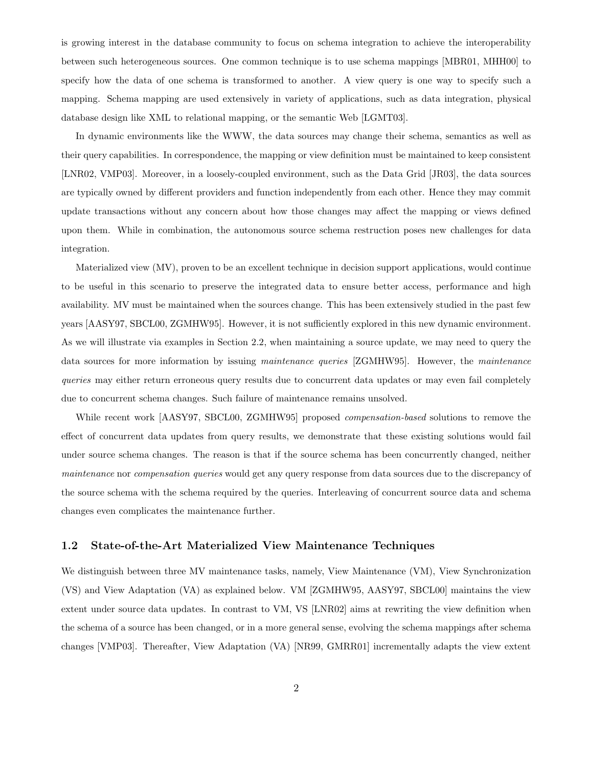is growing interest in the database community to focus on schema integration to achieve the interoperability between such heterogeneous sources. One common technique is to use schema mappings [MBR01, MHH00] to specify how the data of one schema is transformed to another. A view query is one way to specify such a mapping. Schema mapping are used extensively in variety of applications, such as data integration, physical database design like XML to relational mapping, or the semantic Web [LGMT03].

In dynamic environments like the WWW, the data sources may change their schema, semantics as well as their query capabilities. In correspondence, the mapping or view definition must be maintained to keep consistent [LNR02, VMP03]. Moreover, in a loosely-coupled environment, such as the Data Grid [JR03], the data sources are typically owned by different providers and function independently from each other. Hence they may commit update transactions without any concern about how those changes may affect the mapping or views defined upon them. While in combination, the autonomous source schema restruction poses new challenges for data integration.

Materialized view (MV), proven to be an excellent technique in decision support applications, would continue to be useful in this scenario to preserve the integrated data to ensure better access, performance and high availability. MV must be maintained when the sources change. This has been extensively studied in the past few years [AASY97, SBCL00, ZGMHW95]. However, it is not sufficiently explored in this new dynamic environment. As we will illustrate via examples in Section 2.2, when maintaining a source update, we may need to query the data sources for more information by issuing maintenance queries [ZGMHW95]. However, the maintenance queries may either return erroneous query results due to concurrent data updates or may even fail completely due to concurrent schema changes. Such failure of maintenance remains unsolved.

While recent work [AASY97, SBCL00, ZGMHW95] proposed *compensation-based* solutions to remove the effect of concurrent data updates from query results, we demonstrate that these existing solutions would fail under source schema changes. The reason is that if the source schema has been concurrently changed, neither maintenance nor compensation queries would get any query response from data sources due to the discrepancy of the source schema with the schema required by the queries. Interleaving of concurrent source data and schema changes even complicates the maintenance further.

#### 1.2 State-of-the-Art Materialized View Maintenance Techniques

We distinguish between three MV maintenance tasks, namely, View Maintenance (VM), View Synchronization (VS) and View Adaptation (VA) as explained below. VM [ZGMHW95, AASY97, SBCL00] maintains the view extent under source data updates. In contrast to VM, VS [LNR02] aims at rewriting the view definition when the schema of a source has been changed, or in a more general sense, evolving the schema mappings after schema changes [VMP03]. Thereafter, View Adaptation (VA) [NR99, GMRR01] incrementally adapts the view extent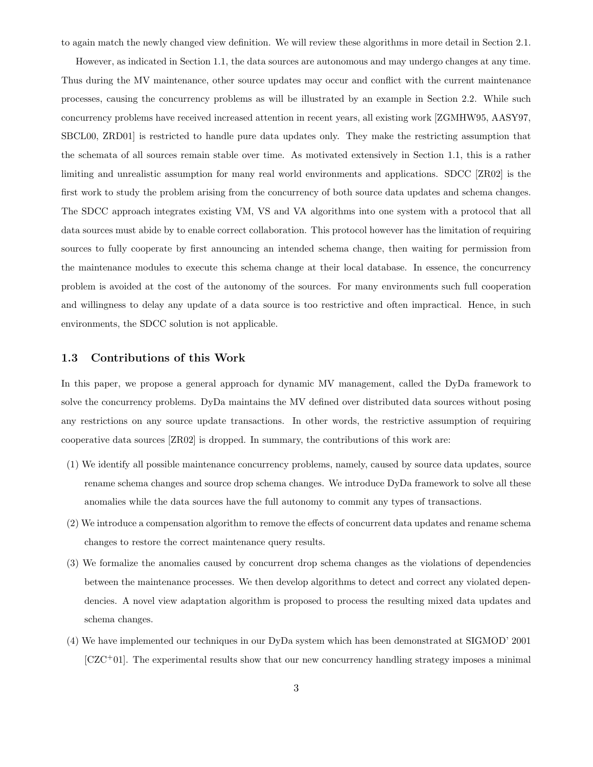to again match the newly changed view definition. We will review these algorithms in more detail in Section 2.1.

However, as indicated in Section 1.1, the data sources are autonomous and may undergo changes at any time. Thus during the MV maintenance, other source updates may occur and conflict with the current maintenance processes, causing the concurrency problems as will be illustrated by an example in Section 2.2. While such concurrency problems have received increased attention in recent years, all existing work [ZGMHW95, AASY97, SBCL00, ZRD01] is restricted to handle pure data updates only. They make the restricting assumption that the schemata of all sources remain stable over time. As motivated extensively in Section 1.1, this is a rather limiting and unrealistic assumption for many real world environments and applications. SDCC [ZR02] is the first work to study the problem arising from the concurrency of both source data updates and schema changes. The SDCC approach integrates existing VM, VS and VA algorithms into one system with a protocol that all data sources must abide by to enable correct collaboration. This protocol however has the limitation of requiring sources to fully cooperate by first announcing an intended schema change, then waiting for permission from the maintenance modules to execute this schema change at their local database. In essence, the concurrency problem is avoided at the cost of the autonomy of the sources. For many environments such full cooperation and willingness to delay any update of a data source is too restrictive and often impractical. Hence, in such environments, the SDCC solution is not applicable.

#### 1.3 Contributions of this Work

In this paper, we propose a general approach for dynamic MV management, called the DyDa framework to solve the concurrency problems. DyDa maintains the MV defined over distributed data sources without posing any restrictions on any source update transactions. In other words, the restrictive assumption of requiring cooperative data sources [ZR02] is dropped. In summary, the contributions of this work are:

- (1) We identify all possible maintenance concurrency problems, namely, caused by source data updates, source rename schema changes and source drop schema changes. We introduce DyDa framework to solve all these anomalies while the data sources have the full autonomy to commit any types of transactions.
- (2) We introduce a compensation algorithm to remove the effects of concurrent data updates and rename schema changes to restore the correct maintenance query results.
- (3) We formalize the anomalies caused by concurrent drop schema changes as the violations of dependencies between the maintenance processes. We then develop algorithms to detect and correct any violated dependencies. A novel view adaptation algorithm is proposed to process the resulting mixed data updates and schema changes.
- (4) We have implemented our techniques in our DyDa system which has been demonstrated at SIGMOD' 2001 [CZC+01]. The experimental results show that our new concurrency handling strategy imposes a minimal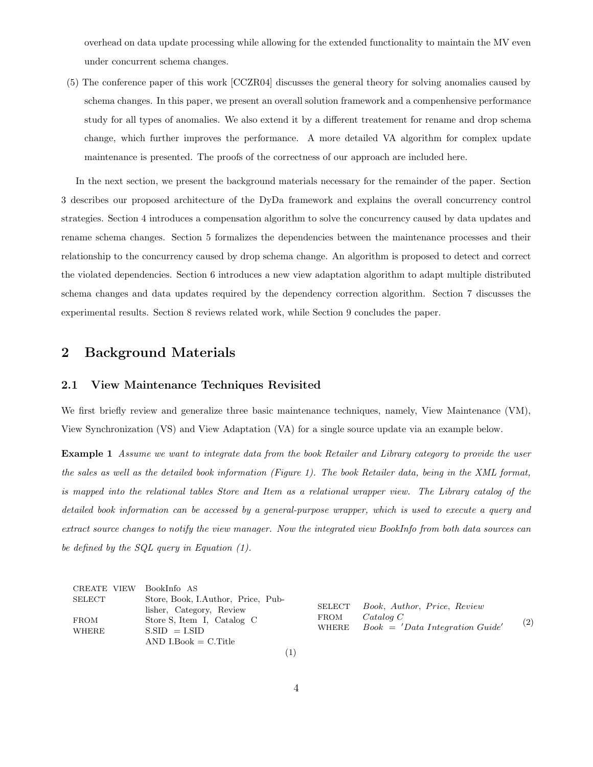overhead on data update processing while allowing for the extended functionality to maintain the MV even under concurrent schema changes.

(5) The conference paper of this work [CCZR04] discusses the general theory for solving anomalies caused by schema changes. In this paper, we present an overall solution framework and a compenhensive performance study for all types of anomalies. We also extend it by a different treatement for rename and drop schema change, which further improves the performance. A more detailed VA algorithm for complex update maintenance is presented. The proofs of the correctness of our approach are included here.

In the next section, we present the background materials necessary for the remainder of the paper. Section 3 describes our proposed architecture of the DyDa framework and explains the overall concurrency control strategies. Section 4 introduces a compensation algorithm to solve the concurrency caused by data updates and rename schema changes. Section 5 formalizes the dependencies between the maintenance processes and their relationship to the concurrency caused by drop schema change. An algorithm is proposed to detect and correct the violated dependencies. Section 6 introduces a new view adaptation algorithm to adapt multiple distributed schema changes and data updates required by the dependency correction algorithm. Section 7 discusses the experimental results. Section 8 reviews related work, while Section 9 concludes the paper.

# 2 Background Materials

### 2.1 View Maintenance Techniques Revisited

We first briefly review and generalize three basic maintenance techniques, namely, View Maintenance (VM), View Synchronization (VS) and View Adaptation (VA) for a single source update via an example below.

Example 1 Assume we want to integrate data from the book Retailer and Library category to provide the user the sales as well as the detailed book information (Figure 1). The book Retailer data, being in the XML format, is mapped into the relational tables Store and Item as a relational wrapper view. The Library catalog of the detailed book information can be accessed by a general-purpose wrapper, which is used to execute a query and extract source changes to notify the view manager. Now the integrated view BookInfo from both data sources can be defined by the SQL query in Equation (1).

| CREATE VIEW | BookInfo AS                                                    |                                       |                                         |     |
|-------------|----------------------------------------------------------------|---------------------------------------|-----------------------------------------|-----|
| SELECT      | Store, Book, I.Author, Price, Pub-<br>lisher, Category, Review | Book, Author, Price, Review<br>SELECT |                                         |     |
| <b>FROM</b> | Store S, Item I, Catalog C                                     | FROM                                  | Catalog                                 | (2) |
| WHERE       | $S.SID = LSID$                                                 |                                       | WHERE $Book = 'Data Integration Guide'$ |     |
|             | $AND$ I.Book = C.Title                                         |                                       |                                         |     |
|             |                                                                |                                       |                                         |     |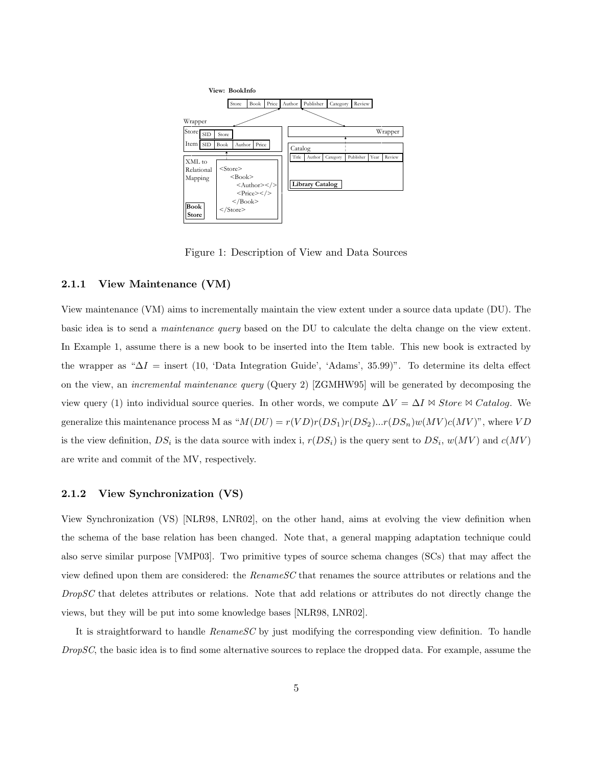

Figure 1: Description of View and Data Sources

#### 2.1.1 View Maintenance (VM)

View maintenance (VM) aims to incrementally maintain the view extent under a source data update (DU). The basic idea is to send a maintenance query based on the DU to calculate the delta change on the view extent. In Example 1, assume there is a new book to be inserted into the Item table. This new book is extracted by the wrapper as " $\Delta I$  = insert (10, 'Data Integration Guide', 'Adams', 35.99)". To determine its delta effect on the view, an incremental maintenance query (Query 2) [ZGMHW95] will be generated by decomposing the view query (1) into individual source queries. In other words, we compute  $\Delta V = \Delta I \Join$  Store  $\Join$  Catalog. We generalize this maintenance process M as " $M(DU) = r(VD)r(DS_1)r(DS_2)...r(DS_n)w(MV)c(MV)$ ", where VD is the view definition,  $DS_i$  is the data source with index i,  $r(DS_i)$  is the query sent to  $DS_i$ ,  $w(MV)$  and  $c(MV)$ are write and commit of the MV, respectively.

#### 2.1.2 View Synchronization (VS)

View Synchronization (VS) [NLR98, LNR02], on the other hand, aims at evolving the view definition when the schema of the base relation has been changed. Note that, a general mapping adaptation technique could also serve similar purpose [VMP03]. Two primitive types of source schema changes (SCs) that may affect the view defined upon them are considered: the RenameSC that renames the source attributes or relations and the DropSC that deletes attributes or relations. Note that add relations or attributes do not directly change the views, but they will be put into some knowledge bases [NLR98, LNR02].

It is straightforward to handle  $RenameSC$  by just modifying the corresponding view definition. To handle DropSC, the basic idea is to find some alternative sources to replace the dropped data. For example, assume the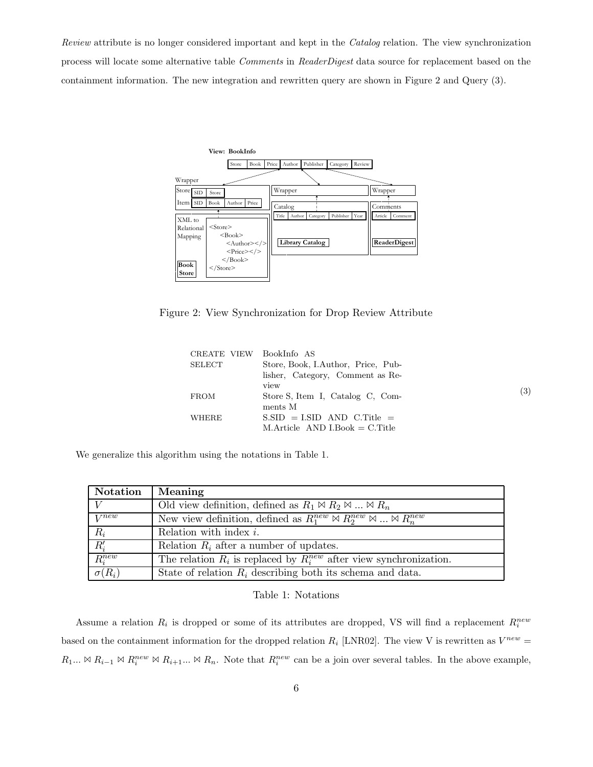Review attribute is no longer considered important and kept in the Catalog relation. The view synchronization process will locate some alternative table Comments in ReaderDigest data source for replacement based on the containment information. The new integration and rewritten query are shown in Figure 2 and Query (3).



Figure 2: View Synchronization for Drop Review Attribute

| CREATE VIEW BookInfo AS |                                         |                   |
|-------------------------|-----------------------------------------|-------------------|
| SELECT                  | Store, Book, I.Author, Price, Pub-      |                   |
|                         | lisher, Category, Comment as Re-        |                   |
|                         | view                                    | $\left( 3\right)$ |
| <b>FROM</b>             | Store S, Item I, Catalog C, Com-        |                   |
|                         | ments M                                 |                   |
| WHERE                   | $S.SID = LSID AND C.Title =$            |                   |
|                         | $M$ . Article AND I. Book $= C$ . Title |                   |

We generalize this algorithm using the notations in Table 1.

| Notation      | Meaning                                                                                  |
|---------------|------------------------------------------------------------------------------------------|
|               | Old view definition, defined as $R_1 \bowtie R_2 \bowtie  \bowtie R_n$                   |
| $V^{new}$     | New view definition, defined as $R_1^{new} \bowtie R_2^{new} \bowtie  \bowtie R_n^{new}$ |
| $R_i$         | Relation with index $i$ .                                                                |
| $R_i'$        | Relation $R_i$ after a number of updates.                                                |
| $R_i^{new}$   | The relation $R_i$ is replaced by $R_i^{new}$ after view synchronization.                |
| $\sigma(R_i)$ | State of relation $R_i$ describing both its schema and data.                             |

#### Table 1: Notations

Assume a relation  $R_i$  is dropped or some of its attributes are dropped, VS will find a replacement  $R_i^{new}$ based on the containment information for the dropped relation  $R_i$  [LNR02]. The view V is rewritten as  $V^{new} =$  $R_1... \bowtie R_{i-1} \bowtie R_i^{new} \bowtie R_{i+1}... \bowtie R_n$ . Note that  $R_i^{new}$  can be a join over several tables. In the above example,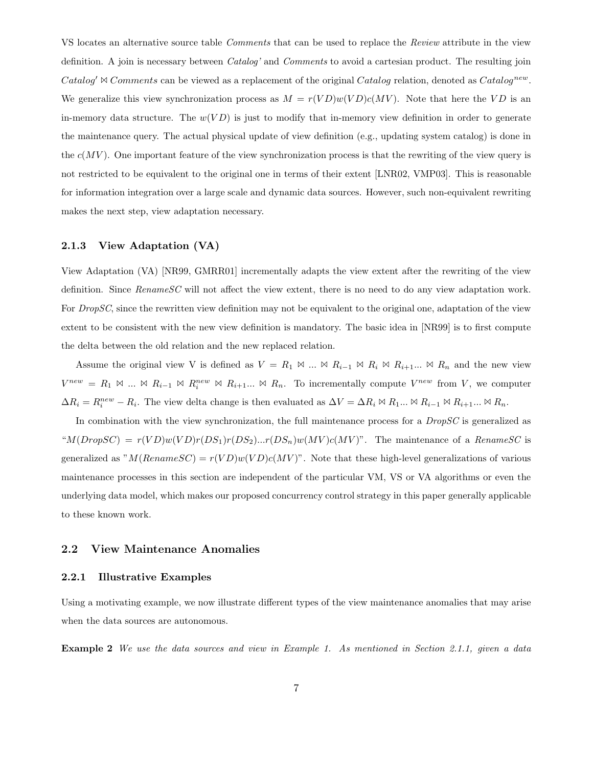VS locates an alternative source table Comments that can be used to replace the Review attribute in the view definition. A join is necessary between *Catalog'* and *Comments* to avoid a cartesian product. The resulting join Catalog'  $\triangle$  Comments can be viewed as a replacement of the original Catalog relation, denoted as Catalog<sup>new</sup>. We generalize this view synchronization process as  $M = r(VD)w(VD)c(MV)$ . Note that here the VD is an in-memory data structure. The  $w(VD)$  is just to modify that in-memory view definition in order to generate the maintenance query. The actual physical update of view definition (e.g., updating system catalog) is done in the  $c(MV)$ . One important feature of the view synchronization process is that the rewriting of the view query is not restricted to be equivalent to the original one in terms of their extent [LNR02, VMP03]. This is reasonable for information integration over a large scale and dynamic data sources. However, such non-equivalent rewriting makes the next step, view adaptation necessary.

#### 2.1.3 View Adaptation (VA)

View Adaptation (VA) [NR99, GMRR01] incrementally adapts the view extent after the rewriting of the view definition. Since RenameSC will not affect the view extent, there is no need to do any view adaptation work. For *DropSC*, since the rewritten view definition may not be equivalent to the original one, adaptation of the view extent to be consistent with the new view definition is mandatory. The basic idea in [NR99] is to first compute the delta between the old relation and the new replaced relation.

Assume the original view V is defined as  $V = R_1 \bowtie ... \bowtie R_{i-1} \bowtie R_i \bowtie R_{i+1} ... \bowtie R_n$  and the new view  $V^{new} = R_1 \Join ... \Join R_{i-1} \Join R_i^{new} \Join R_{i+1} ... \Join R_n$ . To incrementally compute  $V^{new}$  from V, we computer  $\Delta R_i = R_i^{new} - R_i$ . The view delta change is then evaluated as  $\Delta V = \Delta R_i \otimes R_1 ... \otimes R_{i-1} \otimes R_{i+1} ... \otimes R_n$ .

In combination with the view synchronization, the full maintenance process for a  $DropSC$  is generalized as " $M(Drop SC) = r(VD)w(VD)r(DS_1)r(DS_2)...r(DS_n)w(MV)c(MV)$ ". The maintenance of a RenameSC is generalized as " $M(Rename SC) = r(VD)w(VD)c(MV)$ ". Note that these high-level generalizations of various maintenance processes in this section are independent of the particular VM, VS or VA algorithms or even the underlying data model, which makes our proposed concurrency control strategy in this paper generally applicable to these known work.

#### 2.2 View Maintenance Anomalies

#### 2.2.1 Illustrative Examples

Using a motivating example, we now illustrate different types of the view maintenance anomalies that may arise when the data sources are autonomous.

Example 2 We use the data sources and view in Example 1. As mentioned in Section 2.1.1, given a data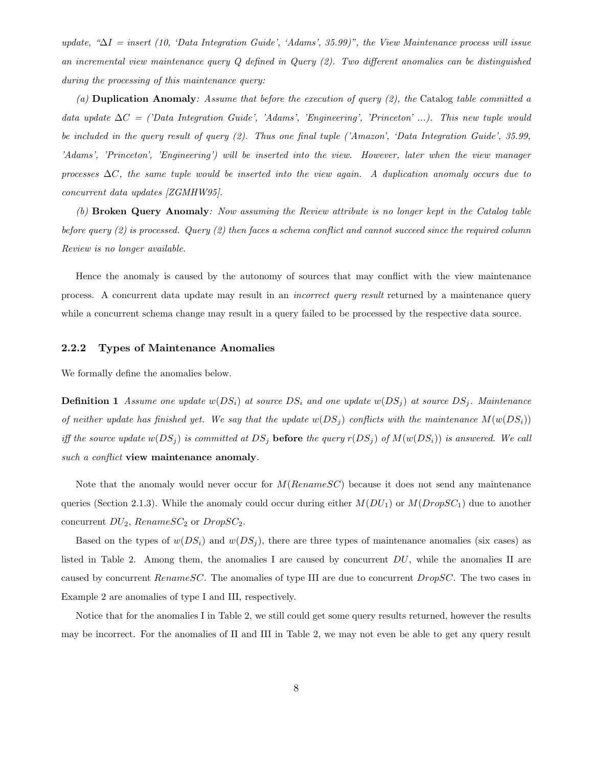update, " $\Delta I =$  insert (10, 'Data Integration Guide', 'Adams', 35.99)", the View Maintenance process will issue an incremental view maintenance query Q defined in Query (2). Two different anomalies can be distinguished during the processing of this maintenance query:

(a) **Duplication Anomaly**: Assume that before the execution of query  $(2)$ , the Catalog table committed a data update  $\Delta C =$  ('Data Integration Guide', 'Adams', 'Engineering', 'Princeton' ...). This new tuple would be included in the query result of query (2). Thus one final tuple ('Amazon', 'Data Integration Guide', 35.99, 'Adams', 'Princeton', 'Engineering') will be inserted into the view. However, later when the view manager processes  $\Delta C$ , the same tuple would be inserted into the view again. A duplication anomaly occurs due to concurrent data updates [ZGMHW95].

(b) Broken Query Anomaly: Now assuming the Review attribute is no longer kept in the Catalog table before query  $(2)$  is processed. Query  $(2)$  then faces a schema conflict and cannot succeed since the required column Review is no longer available.

Hence the anomaly is caused by the autonomy of sources that may conflict with the view maintenance process. A concurrent data update may result in an *incorrect query result* returned by a maintenance query while a concurrent schema change may result in a query failed to be processed by the respective data source.

#### 2.2.2 Types of Maintenance Anomalies

We formally define the anomalies below.

**Definition 1** Assume one update  $w(DS_i)$  at source  $DS_i$  and one update  $w(DS_j)$  at source  $DS_j$ . Maintenance of neither update has finished yet. We say that the update  $w(DS_j)$  conflicts with the maintenance  $M(w(DS_i))$ iff the source update  $w(DS_j)$  is committed at  $DS_j$  before the query  $r(DS_j)$  of  $M(w(DS_i))$  is answered. We call such a conflict view maintenance anomaly.

Note that the anomaly would never occur for  $M(RenameSC)$  because it does not send any maintenance queries (Section 2.1.3). While the anomaly could occur during either  $M(DU_1)$  or  $M(DropSC_1)$  due to another concurrent  $DU_2$ , Rename  $SC_2$  or  $Drop SC_2$ .

Based on the types of  $w(DS_i)$  and  $w(DS_j)$ , there are three types of maintenance anomalies (six cases) as listed in Table 2. Among them, the anomalies I are caused by concurrent  $DU$ , while the anomalies II are caused by concurrent RenameSC. The anomalies of type III are due to concurrent DropSC. The two cases in Example 2 are anomalies of type I and III, respectively.

Notice that for the anomalies I in Table 2, we still could get some query results returned, however the results may be incorrect. For the anomalies of II and III in Table 2, we may not even be able to get any query result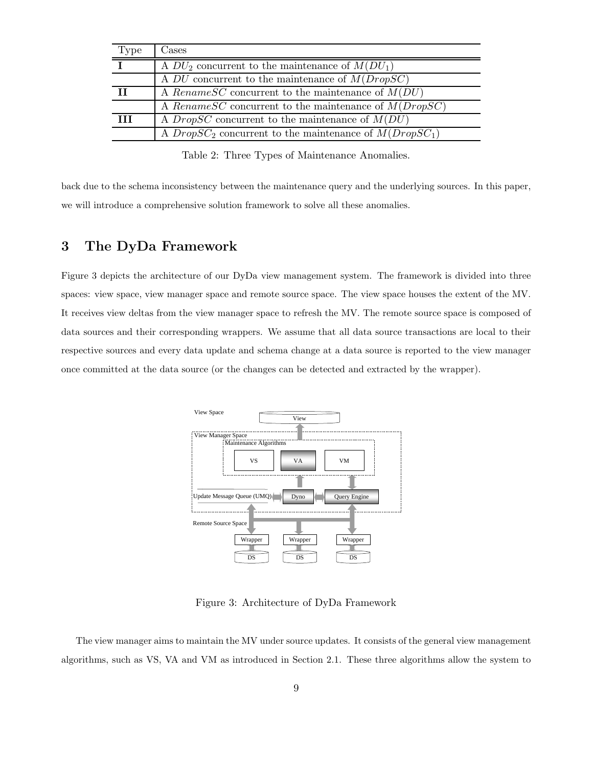| <b>Type</b> | Cases                                                         |
|-------------|---------------------------------------------------------------|
|             | A $DU_2$ concurrent to the maintenance of $M(DU_1)$           |
|             | A DU concurrent to the maintenance of $M(Drop \overline{SC})$ |
| Н           | A Rename SC concurrent to the maintenance of $M(DU)$          |
|             | A Rename SC concurrent to the maintenance of $M(Drop SC)$     |
| Ш           | A <i>DropSC</i> concurrent to the maintenance of $M(DU)$      |
|             | A $DropSC_2$ concurrent to the maintenance of $M(Drop SC_1)$  |

Table 2: Three Types of Maintenance Anomalies.

back due to the schema inconsistency between the maintenance query and the underlying sources. In this paper, we will introduce a comprehensive solution framework to solve all these anomalies.

# 3 The DyDa Framework

Figure 3 depicts the architecture of our DyDa view management system. The framework is divided into three spaces: view space, view manager space and remote source space. The view space houses the extent of the MV. It receives view deltas from the view manager space to refresh the MV. The remote source space is composed of data sources and their corresponding wrappers. We assume that all data source transactions are local to their respective sources and every data update and schema change at a data source is reported to the view manager once committed at the data source (or the changes can be detected and extracted by the wrapper).



Figure 3: Architecture of DyDa Framework

The view manager aims to maintain the MV under source updates. It consists of the general view management algorithms, such as VS, VA and VM as introduced in Section 2.1. These three algorithms allow the system to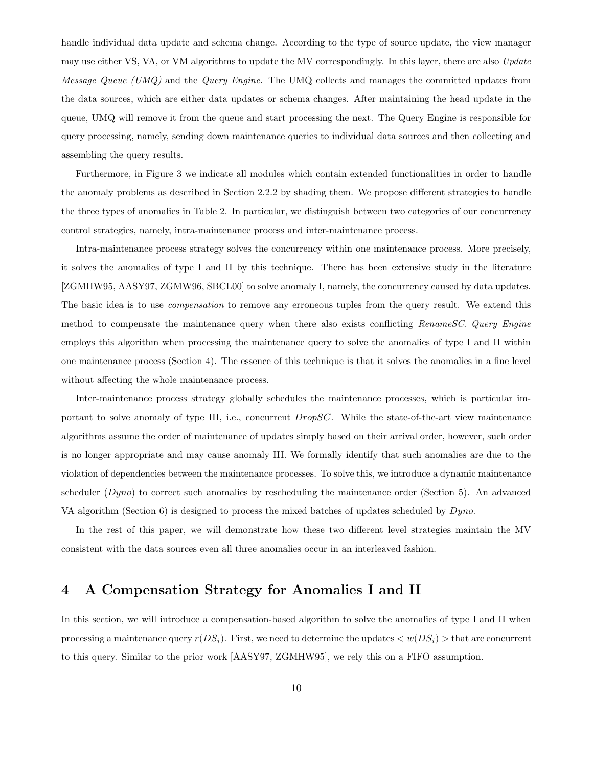handle individual data update and schema change. According to the type of source update, the view manager may use either VS, VA, or VM algorithms to update the MV correspondingly. In this layer, there are also Update Message Queue (UMQ) and the Query Engine. The UMQ collects and manages the committed updates from the data sources, which are either data updates or schema changes. After maintaining the head update in the queue, UMQ will remove it from the queue and start processing the next. The Query Engine is responsible for query processing, namely, sending down maintenance queries to individual data sources and then collecting and assembling the query results.

Furthermore, in Figure 3 we indicate all modules which contain extended functionalities in order to handle the anomaly problems as described in Section 2.2.2 by shading them. We propose different strategies to handle the three types of anomalies in Table 2. In particular, we distinguish between two categories of our concurrency control strategies, namely, intra-maintenance process and inter-maintenance process.

Intra-maintenance process strategy solves the concurrency within one maintenance process. More precisely, it solves the anomalies of type I and II by this technique. There has been extensive study in the literature [ZGMHW95, AASY97, ZGMW96, SBCL00] to solve anomaly I, namely, the concurrency caused by data updates. The basic idea is to use *compensation* to remove any erroneous tuples from the query result. We extend this method to compensate the maintenance query when there also exists conflicting RenameSC. Query Engine employs this algorithm when processing the maintenance query to solve the anomalies of type I and II within one maintenance process (Section 4). The essence of this technique is that it solves the anomalies in a fine level without affecting the whole maintenance process.

Inter-maintenance process strategy globally schedules the maintenance processes, which is particular important to solve anomaly of type III, i.e., concurrent *DropSC*. While the state-of-the-art view maintenance algorithms assume the order of maintenance of updates simply based on their arrival order, however, such order is no longer appropriate and may cause anomaly III. We formally identify that such anomalies are due to the violation of dependencies between the maintenance processes. To solve this, we introduce a dynamic maintenance scheduler (Dyno) to correct such anomalies by rescheduling the maintenance order (Section 5). An advanced VA algorithm (Section 6) is designed to process the mixed batches of updates scheduled by  $Dyno$ .

In the rest of this paper, we will demonstrate how these two different level strategies maintain the MV consistent with the data sources even all three anomalies occur in an interleaved fashion.

# 4 A Compensation Strategy for Anomalies I and II

In this section, we will introduce a compensation-based algorithm to solve the anomalies of type I and II when processing a maintenance query  $r(DS_i)$ . First, we need to determine the updates  $\langle w(DS_i) \rangle$  that are concurrent to this query. Similar to the prior work [AASY97, ZGMHW95], we rely this on a FIFO assumption.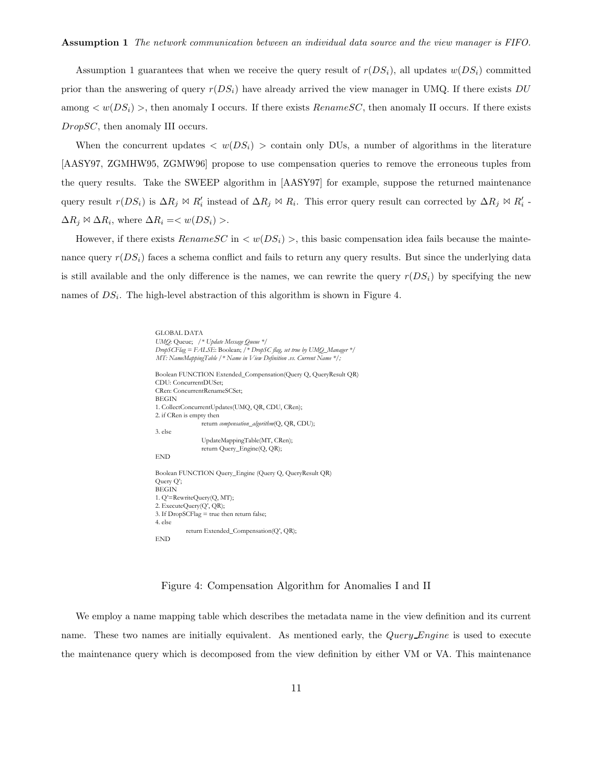Assumption 1 guarantees that when we receive the query result of  $r(DS_i)$ , all updates  $w(DS_i)$  committed prior than the answering of query  $r(DS_i)$  have already arrived the view manager in UMQ. If there exists DU among  $\langle w(DS_i) \rangle$ , then anomaly I occurs. If there exists RenameSC, then anomaly II occurs. If there exists DropSC, then anomaly III occurs.

When the concurrent updates  $\langle w(DS_i) \rangle$  contain only DUs, a number of algorithms in the literature [AASY97, ZGMHW95, ZGMW96] propose to use compensation queries to remove the erroneous tuples from the query results. Take the SWEEP algorithm in [AASY97] for example, suppose the returned maintenance query result  $r(DS_i)$  is  $\Delta R_j \bowtie R'_i$  instead of  $\Delta R_j \bowtie R_i$ . This error query result can corrected by  $\Delta R_j \bowtie R'_i$ .  $\Delta R_i \bowtie \Delta R_i$ , where  $\Delta R_i = \langle w(DS_i) \rangle$ .

However, if there exists  $RenameSC$  in  $\langle w(DS_i) \rangle$ , this basic compensation idea fails because the maintenance query  $r(DS_i)$  faces a schema conflict and fails to return any query results. But since the underlying data is still available and the only difference is the names, we can rewrite the query  $r(DS_i)$  by specifying the new names of  $DS_i$ . The high-level abstraction of this algorithm is shown in Figure 4.

```
GLOBAL DATA
UMQ: Queue; /* Update Message Queue */
DropSCFlag = FALSE: Boolean; /* DropSC flag, set true by UMQ_Manager */
MT: NameMappingTable /* Name in View Definition .vs. Current Name */;
Boolean FUNCTION Extended_Compensation(Query Q, QueryResult QR)
CDU: ConcurrentDUSet;
CRen: ConcurrentRenameSCSet;
BEGIN
1. CollectConcurrentUpdates(UMQ, QR, CDU, CRen);
2. if CRen is empty then
                return compensation_algorithm(Q, QR, CDU);
3. else
               UpdateMappingTable(MT, CRen);
                return Query_Engine(Q, QR);
END
Boolean FUNCTION Query_Engine (Query Q, QueryResult QR)
Query Q';
BEGIN
1. Q'=RewriteQuery(Q, MT);
2. ExecuteQuery(Q', QR);
3. If DropSCFlag = true then return false;
4. else
           return Extended_Compensation(Q', QR);
END
```
Figure 4: Compensation Algorithm for Anomalies I and II

We employ a name mapping table which describes the metadata name in the view definition and its current name. These two names are initially equivalent. As mentioned early, the Query Engine is used to execute the maintenance query which is decomposed from the view definition by either VM or VA. This maintenance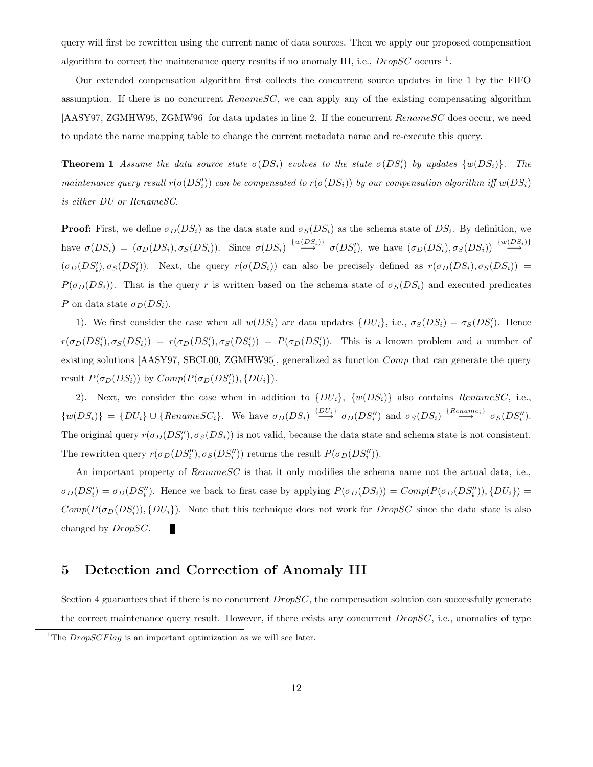query will first be rewritten using the current name of data sources. Then we apply our proposed compensation algorithm to correct the maintenance query results if no anomaly III, i.e.,  $DropSC$  occurs <sup>1</sup>.

Our extended compensation algorithm first collects the concurrent source updates in line 1 by the FIFO assumption. If there is no concurrent  $RenameSC$ , we can apply any of the existing compensating algorithm [AASY97, ZGMHW95, ZGMW96] for data updates in line 2. If the concurrent RenameSC does occur, we need to update the name mapping table to change the current metadata name and re-execute this query.

**Theorem 1** Assume the data source state  $\sigma(DS_i)$  evolves to the state  $\sigma(DS'_i)$  by updates  $\{w(DS_i)\}\$ . The maintenance query result  $r(\sigma(DS_i'))$  can be compensated to  $r(\sigma(DS_i))$  by our compensation algorithm iff  $w(DS_i)$ is either DU or RenameSC.

**Proof:** First, we define  $\sigma_D(DS_i)$  as the data state and  $\sigma_S(DS_i)$  as the schema state of  $DS_i$ . By definition, we have  $\sigma(DS_i) = (\sigma_D(DS_i), \sigma_S(DS_i))$ . Since  $\sigma(DS_i) \stackrel{\{w(DS_i)\}}{\longrightarrow} \sigma(DS'_i)$ , we have  $(\sigma_D(DS_i), \sigma_S(DS_i)) \stackrel{\{w(DS_i)\}}{\longrightarrow} \sigma(DS'_i)$  $(\sigma_D(DS_i'), \sigma_S(DS_i'))$ . Next, the query  $r(\sigma(DS_i))$  can also be precisely defined as  $r(\sigma_D(DS_i), \sigma_S(DS_i))$  =  $P(\sigma_D(DS_i))$ . That is the query r is written based on the schema state of  $\sigma_S(DS_i)$  and executed predicates P on data state  $\sigma_D(DS_i)$ .

1). We first consider the case when all  $w(DS_i)$  are data updates  $\{DU_i\}$ , i.e.,  $\sigma_S(DS_i) = \sigma_S(DS'_i)$ . Hence  $r(\sigma_D(DS_i'), \sigma_S(DS_i)) = r(\sigma_D(DS_i'), \sigma_S(DS_i')) = P(\sigma_D(DS_i'))$ . This is a known problem and a number of existing solutions [AASY97, SBCL00, ZGMHW95], generalized as function Comp that can generate the query result  $P(\sigma_D(DS_i))$  by  $Comp(P(\sigma_D(DS_i')), \{DU_i\}).$ 

2). Next, we consider the case when in addition to  $\{DU_i\}$ ,  $\{w(DS_i)\}$  also contains RenameSC, i.e.,  $\{w(DS_i)\} = \{DU_i\} \cup \{Rename SC_i\}.$  We have  $\sigma_D(DS_i) \stackrel{\{DU_i\}}{\longrightarrow} \sigma_D(DS_i'')$  and  $\sigma_S(DS_i) \stackrel{\{Rename_i\}}{\longrightarrow} \sigma_S(DS_i'').$ The original query  $r(\sigma_D(DS_i''), \sigma_S(DS_i))$  is not valid, because the data state and schema state is not consistent. The rewritten query  $r(\sigma_D(DS_i''), \sigma_S(DS_i''))$  returns the result  $P(\sigma_D(DS_i''))$ .

An important property of RenameSC is that it only modifies the schema name not the actual data, i.e.,  $\sigma_D(DS_i') = \sigma_D(DS_i'')$ . Hence we back to first case by applying  $P(\sigma_D(DS_i)) = Comp(P(\sigma_D(DS_i''))$ ,  $\{DU_i\}) =$  $Comp(P(\sigma_D(DS_i')), \{DU_i\})$ . Note that this technique does not work for  $DropSC$  since the data state is also changed by DropSC. п

# 5 Detection and Correction of Anomaly III

Section 4 guarantees that if there is no concurrent  $DropSC$ , the compensation solution can successfully generate the correct maintenance query result. However, if there exists any concurrent  $DropSC$ , i.e., anomalies of type

<sup>&</sup>lt;sup>1</sup>The *DropSCFlag* is an important optimization as we will see later.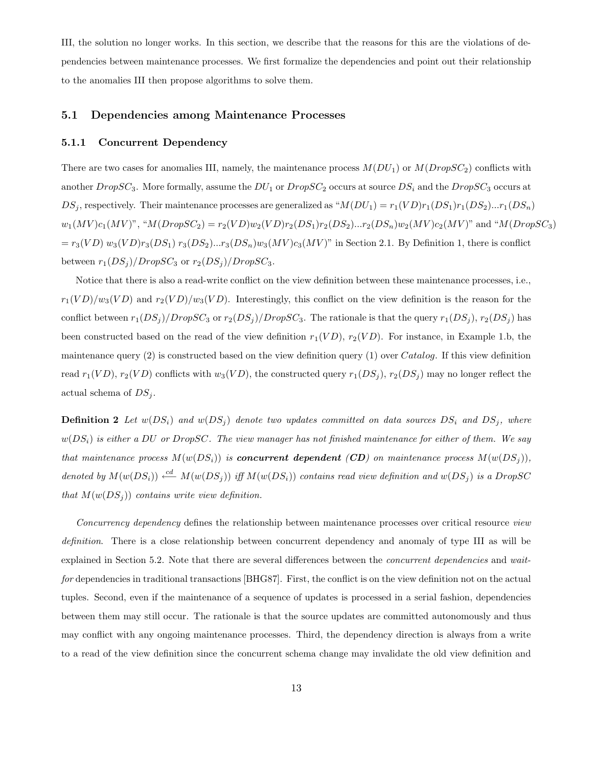III, the solution no longer works. In this section, we describe that the reasons for this are the violations of dependencies between maintenance processes. We first formalize the dependencies and point out their relationship to the anomalies III then propose algorithms to solve them.

#### 5.1 Dependencies among Maintenance Processes

#### 5.1.1 Concurrent Dependency

There are two cases for anomalies III, namely, the maintenance process  $M(DU_1)$  or  $M(DropSC_2)$  conflicts with another  $DropSC_3$ . More formally, assume the  $DU_1$  or  $DropSC_2$  occurs at source  $DS_i$  and the  $DropSC_3$  occurs at  $DS_j$ , respectively. Their maintenance processes are generalized as " $M(DU_1) = r_1(VD)r_1(DS_1)r_1(DS_2)...r_1(DS_n)$  $w_1(MV)c_1(MV)$ ", " $M(DropSC_2) = r_2(VD)w_2(VD)r_2(DS_1)r_2(DS_2)...r_2(DS_n)w_2(MV)c_2(MV)$ " and " $M(DropSC_3)$  $= r_3(VD) w_3(VD) r_3(DS_1) r_3(DS_2)...r_3(DS_n) w_3(MV) c_3(MV)$ " in Section 2.1. By Definition 1, there is conflict between  $r_1(DS_i)/DropSC_3$  or  $r_2(DS_i)/DropSC_3$ .

Notice that there is also a read-write conflict on the view definition between these maintenance processes, i.e.,  $r_1(VD)/w_3(VD)$  and  $r_2(VD)/w_3(VD)$ . Interestingly, this conflict on the view definition is the reason for the conflict between  $r_1(DS_j)/DropSC_3$  or  $r_2(DS_j)/DropSC_3$ . The rationale is that the query  $r_1(DS_j)$ ,  $r_2(DS_j)$  has been constructed based on the read of the view definition  $r_1(VD)$ ,  $r_2(VD)$ . For instance, in Example 1.b, the maintenance query  $(2)$  is constructed based on the view definition query  $(1)$  over Catalog. If this view definition read  $r_1(VD)$ ,  $r_2(VD)$  conflicts with  $w_3(VD)$ , the constructed query  $r_1(DS_i)$ ,  $r_2(DS_i)$  may no longer reflect the actual schema of  $DS_i$ .

**Definition 2** Let  $w(DS_i)$  and  $w(DS_j)$  denote two updates committed on data sources  $DS_i$  and  $DS_j$ , where  $w(DS_i)$  is either a DU or DropSC. The view manager has not finished maintenance for either of them. We say that maintenance process  $M(w(DS_i))$  is **concurrent dependent (CD)** on maintenance process  $M(w(DS_i))$ , denoted by  $M(w(DS_i)) \stackrel{cd}{\longleftarrow} M(w(DS_i))$  iff  $M(w(DS_i))$  contains read view definition and  $w(DS_i)$  is a DropSC that  $M(w(DS_i))$  contains write view definition.

Concurrency dependency defines the relationship between maintenance processes over critical resource view definition. There is a close relationship between concurrent dependency and anomaly of type III as will be explained in Section 5.2. Note that there are several differences between the *concurrent dependencies* and waitfor dependencies in traditional transactions [BHG87]. First, the conflict is on the view definition not on the actual tuples. Second, even if the maintenance of a sequence of updates is processed in a serial fashion, dependencies between them may still occur. The rationale is that the source updates are committed autonomously and thus may conflict with any ongoing maintenance processes. Third, the dependency direction is always from a write to a read of the view definition since the concurrent schema change may invalidate the old view definition and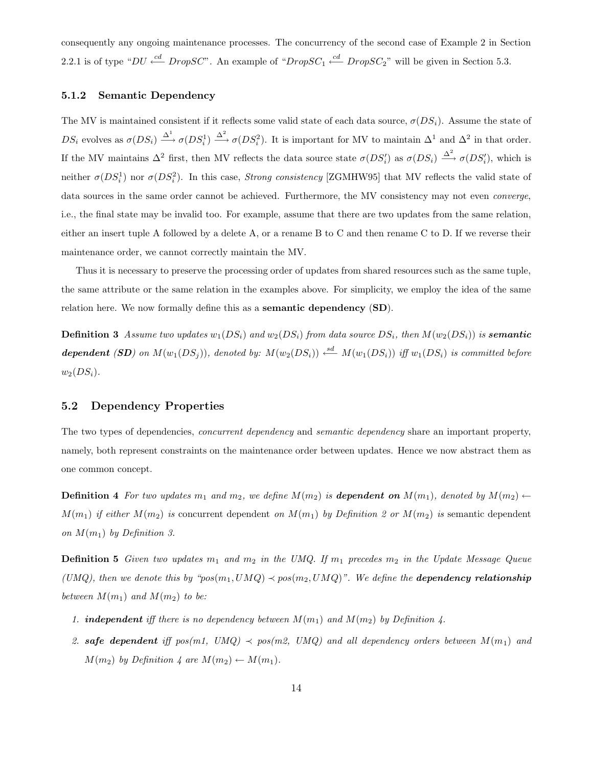consequently any ongoing maintenance processes. The concurrency of the second case of Example 2 in Section 2.2.1 is of type " $DU \stackrel{cd}{\longleftarrow} DropSC$ ". An example of " $DropSC_1 \stackrel{cd}{\longleftarrow} DropSC_2$ " will be given in Section 5.3.

#### 5.1.2 Semantic Dependency

The MV is maintained consistent if it reflects some valid state of each data source,  $\sigma(DS_i)$ . Assume the state of  $DS_i$  evolves as  $\sigma(DS_i) \stackrel{\Delta^1}{\longrightarrow} \sigma(DS_i^1) \stackrel{\Delta^2}{\longrightarrow} \sigma(DS_i^2)$ . It is important for MV to maintain  $\Delta^1$  and  $\Delta^2$  in that order. If the MV maintains  $\Delta^2$  first, then MV reflects the data source state  $\sigma(DS_i')$  as  $\sigma(DS_i) \stackrel{\Delta^2}{\longrightarrow} \sigma(DS_i')$ , which is neither  $\sigma(DS_i^1)$  nor  $\sigma(DS_i^2)$ . In this case, *Strong consistency* [ZGMHW95] that MV reflects the valid state of data sources in the same order cannot be achieved. Furthermore, the MV consistency may not even *converge*, i.e., the final state may be invalid too. For example, assume that there are two updates from the same relation, either an insert tuple A followed by a delete A, or a rename B to C and then rename C to D. If we reverse their maintenance order, we cannot correctly maintain the MV.

Thus it is necessary to preserve the processing order of updates from shared resources such as the same tuple, the same attribute or the same relation in the examples above. For simplicity, we employ the idea of the same relation here. We now formally define this as a **semantic dependency** (SD).

**Definition 3** Assume two updates  $w_1(DS_i)$  and  $w_2(DS_i)$  from data source  $DS_i$ , then  $M(w_2(DS_i))$  is **semantic** dependent (SD) on  $M(w_1(DS_j))$ , denoted by:  $M(w_2(DS_i)) \stackrel{sd}{\longleftarrow} M(w_1(DS_i))$  iff  $w_1(DS_i)$  is committed before  $w_2(DS_i)$ .

#### 5.2 Dependency Properties

The two types of dependencies, *concurrent dependency* and *semantic dependency* share an important property, namely, both represent constraints on the maintenance order between updates. Hence we now abstract them as one common concept.

**Definition 4** For two updates  $m_1$  and  $m_2$ , we define  $M(m_2)$  is **dependent on**  $M(m_1)$ , denoted by  $M(m_2) \leftarrow$  $M(m_1)$  if either  $M(m_2)$  is concurrent dependent on  $M(m_1)$  by Definition 2 or  $M(m_2)$  is semantic dependent on  $M(m_1)$  by Definition 3.

**Definition 5** Given two updates  $m_1$  and  $m_2$  in the UMQ. If  $m_1$  precedes  $m_2$  in the Update Message Queue (UMQ), then we denote this by " $pos(m_1, UMQ) \prec pos(m_2, UMQ)$ ". We define the **dependency relationship** between  $M(m_1)$  and  $M(m_2)$  to be:

- 1. **independent** iff there is no dependency between  $M(m_1)$  and  $M(m_2)$  by Definition 4.
- 2. safe dependent iff  $pos(m1, UMQ) \prec pos(m2, UMQ)$  and all dependency orders between  $M(m_1)$  and  $M(m_2)$  by Definition 4 are  $M(m_2) \leftarrow M(m_1)$ .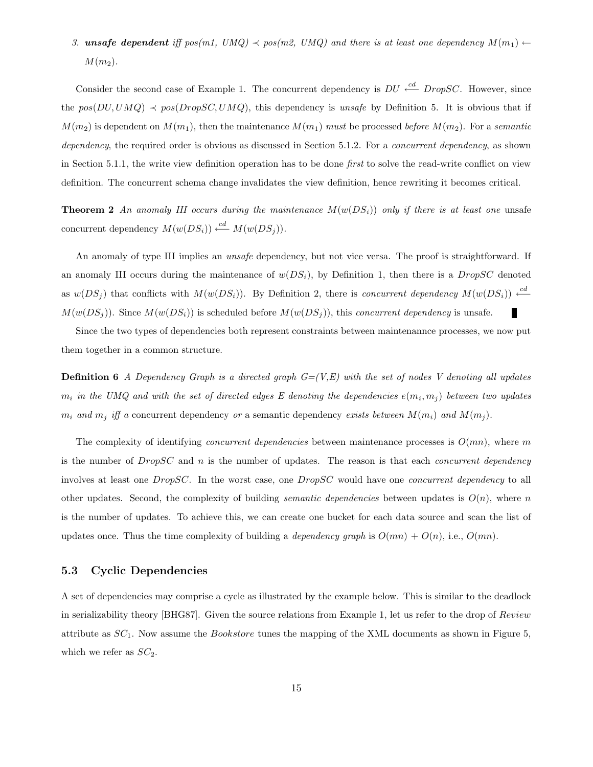# 3. unsafe dependent iff  $pos(m1, \text{UMQ}) \prec pos(m2, \text{UMQ})$  and there is at least one dependency  $M(m_1) \leftarrow$  $M(m_2)$ .

Consider the second case of Example 1. The concurrent dependency is  $DU \stackrel{cd}{\longleftarrow} DropSC$ . However, since the  $pos(DU, UMQ) \prec pos(DropSC, UMQ)$ , this dependency is unsafe by Definition 5. It is obvious that if  $M(m_2)$  is dependent on  $M(m_1)$ , then the maintenance  $M(m_1)$  must be processed before  $M(m_2)$ . For a semantic dependency, the required order is obvious as discussed in Section 5.1.2. For a *concurrent dependency*, as shown in Section 5.1.1, the write view definition operation has to be done first to solve the read-write conflict on view definition. The concurrent schema change invalidates the view definition, hence rewriting it becomes critical.

**Theorem 2** An anomaly III occurs during the maintenance  $M(w(DS_i))$  only if there is at least one unsafe concurrent dependency  $M(w(DS_i)) \stackrel{cd}{\longleftarrow} M(w(DS_i)).$ 

An anomaly of type III implies an *unsafe* dependency, but not vice versa. The proof is straightforward. If an anomaly III occurs during the maintenance of  $w(DS_i)$ , by Definition 1, then there is a *DropSC* denoted as  $w(DS_j)$  that conflicts with  $M(w(DS_i))$ . By Definition 2, there is *concurrent dependency*  $M(w(DS_i)) \leftarrow d M(w(DS_i))$ . Since  $M(w(DS_i))$  is scheduled before  $M(w(DS_i))$ , this concurrent dependency is unsafe. П

Since the two types of dependencies both represent constraints between maintenannce processes, we now put them together in a common structure.

**Definition 6** A Dependency Graph is a directed graph  $G=(V,E)$  with the set of nodes V denoting all updates  $m_i$  in the UMQ and with the set of directed edges E denoting the dependencies  $e(m_i, m_j)$  between two updates  $m_i$  and  $m_j$  iff a concurrent dependency or a semantic dependency exists between  $M(m_i)$  and  $M(m_j)$ .

The complexity of identifying *concurrent dependencies* between maintenance processes is  $O(mn)$ , where m is the number of  $DropSC$  and n is the number of updates. The reason is that each *concurrent dependency* involves at least one DropSC. In the worst case, one DropSC would have one concurrent dependency to all other updates. Second, the complexity of building *semantic dependencies* between updates is  $O(n)$ , where n is the number of updates. To achieve this, we can create one bucket for each data source and scan the list of updates once. Thus the time complexity of building a *dependency graph* is  $O(mn) + O(n)$ , i.e.,  $O(mn)$ .

### 5.3 Cyclic Dependencies

A set of dependencies may comprise a cycle as illustrated by the example below. This is similar to the deadlock in serializability theory [BHG87]. Given the source relations from Example 1, let us refer to the drop of Review attribute as  $SC_1$ . Now assume the *Bookstore* tunes the mapping of the XML documents as shown in Figure 5, which we refer as  $SC_2$ .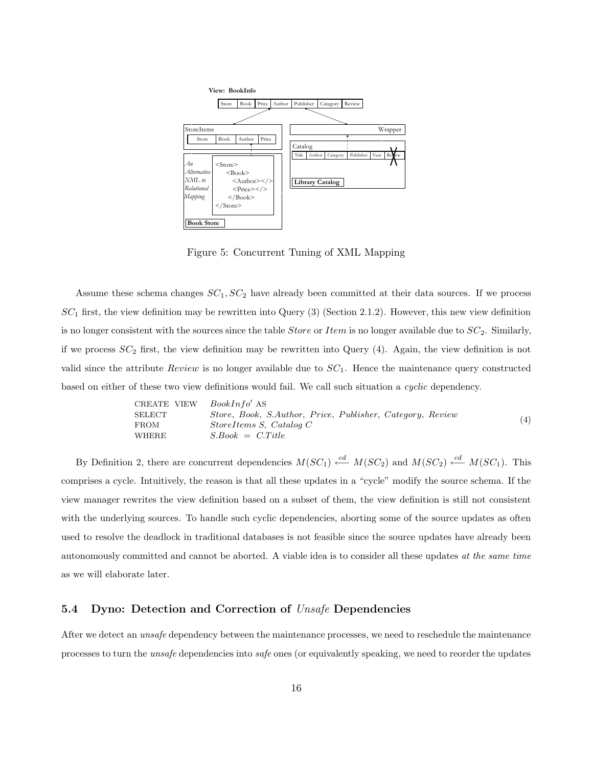

Figure 5: Concurrent Tuning of XML Mapping

Assume these schema changes  $SC_1$ ,  $SC_2$  have already been committed at their data sources. If we process  $SC_1$  first, the view definition may be rewritten into Query (3) (Section 2.1.2). However, this new view definition is no longer consistent with the sources since the table *Store* or *Item* is no longer available due to  $SC_2$ . Similarly, if we process  $SC_2$  first, the view definition may be rewritten into Query (4). Again, the view definition is not valid since the attribute  $Review$  is no longer available due to  $SC<sub>1</sub>$ . Hence the maintenance query constructed based on either of these two view definitions would fail. We call such situation a *cyclic* dependency.

| CREATE VIEW | $BookInfo'$ AS                                               |
|-------------|--------------------------------------------------------------|
| SELECT      | $Store$ , Book, S.Author, Price, Publisher, Category, Review |
| FROM        | $StoreItems S$ , Catalog C                                   |
| WHERE       | $S.Book = C.Title$                                           |

By Definition 2, there are concurrent dependencies  $M(SC_1) \stackrel{cd}{\longleftarrow} M(SC_2)$  and  $M(SC_2) \stackrel{cd}{\longleftarrow} M(SC_1)$ . This comprises a cycle. Intuitively, the reason is that all these updates in a "cycle" modify the source schema. If the view manager rewrites the view definition based on a subset of them, the view definition is still not consistent with the underlying sources. To handle such cyclic dependencies, aborting some of the source updates as often used to resolve the deadlock in traditional databases is not feasible since the source updates have already been autonomously committed and cannot be aborted. A viable idea is to consider all these updates at the same time as we will elaborate later.

#### 5.4 Dyno: Detection and Correction of Unsafe Dependencies

After we detect an *unsafe* dependency between the maintenance processes, we need to reschedule the maintenance processes to turn the unsafe dependencies into safe ones (or equivalently speaking, we need to reorder the updates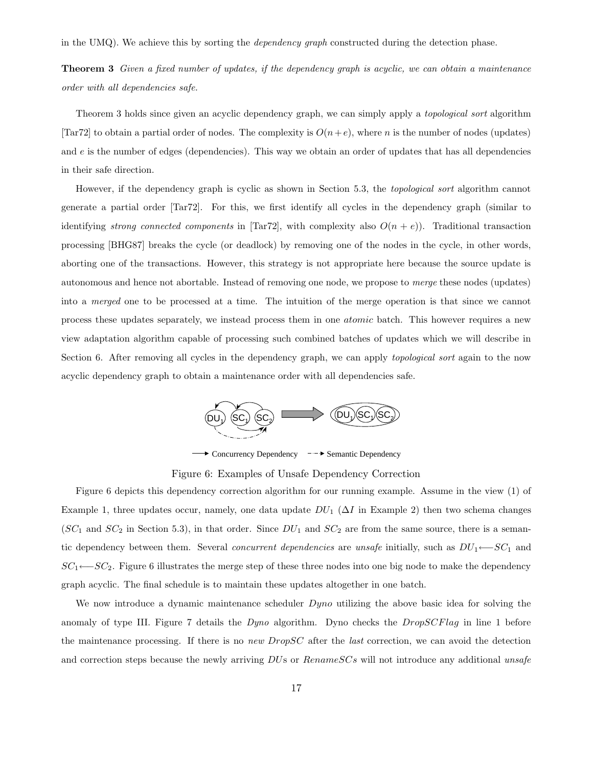in the UMQ). We achieve this by sorting the *dependency graph* constructed during the detection phase.

**Theorem 3** Given a fixed number of updates, if the dependency graph is acyclic, we can obtain a maintenance order with all dependencies safe.

Theorem 3 holds since given an acyclic dependency graph, we can simply apply a *topological sort* algorithm [Tar72] to obtain a partial order of nodes. The complexity is  $O(n+e)$ , where n is the number of nodes (updates) and  $e$  is the number of edges (dependencies). This way we obtain an order of updates that has all dependencies in their safe direction.

However, if the dependency graph is cyclic as shown in Section 5.3, the topological sort algorithm cannot generate a partial order [Tar72]. For this, we first identify all cycles in the dependency graph (similar to identifying strong connected components in [Tar72], with complexity also  $O(n+e)$ ). Traditional transaction processing [BHG87] breaks the cycle (or deadlock) by removing one of the nodes in the cycle, in other words, aborting one of the transactions. However, this strategy is not appropriate here because the source update is autonomous and hence not abortable. Instead of removing one node, we propose to merge these nodes (updates) into a merged one to be processed at a time. The intuition of the merge operation is that since we cannot process these updates separately, we instead process them in one atomic batch. This however requires a new view adaptation algorithm capable of processing such combined batches of updates which we will describe in Section 6. After removing all cycles in the dependency graph, we can apply *topological sort* again to the now acyclic dependency graph to obtain a maintenance order with all dependencies safe.



 $\longrightarrow$  Concurrency Dependency  $-\rightarrow$  Semantic Dependency

Figure 6: Examples of Unsafe Dependency Correction

Figure 6 depicts this dependency correction algorithm for our running example. Assume in the view (1) of Example 1, three updates occur, namely, one data update  $DU_1$  ( $\Delta I$  in Example 2) then two schema changes  $(SC_1$  and  $SC_2$  in Section 5.3), in that order. Since  $DU_1$  and  $SC_2$  are from the same source, there is a semantic dependency between them. Several *concurrent dependencies* are unsafe initially, such as  $DU_1 \leftarrow SC_1$  and  $SC_1 \leftarrow SC_2$ . Figure 6 illustrates the merge step of these three nodes into one big node to make the dependency graph acyclic. The final schedule is to maintain these updates altogether in one batch.

We now introduce a dynamic maintenance scheduler  $Dyno$  utilizing the above basic idea for solving the anomaly of type III. Figure 7 details the Dyno algorithm. Dyno checks the DropSCFlag in line 1 before the maintenance processing. If there is no *new DropSC* after the *last* correction, we can avoid the detection and correction steps because the newly arriving DUs or RenameSCs will not introduce any additional unsafe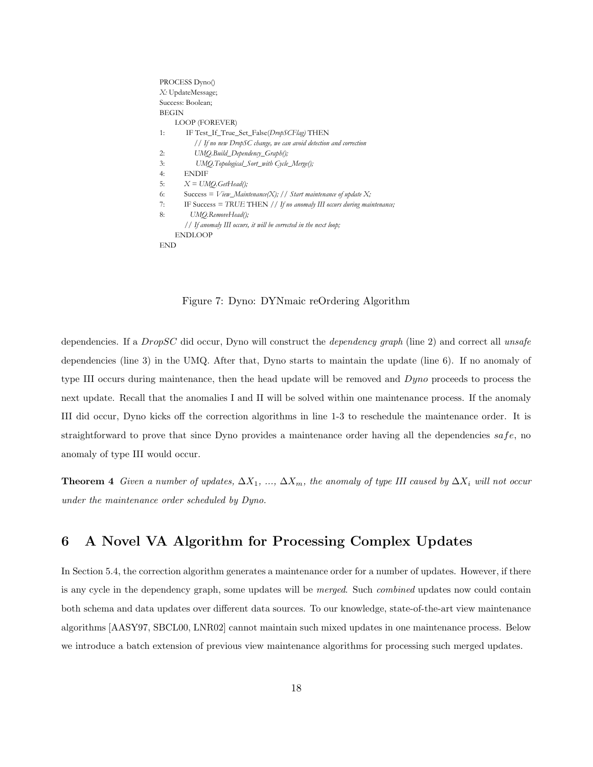```
PROCESS Dyno()
X: UpdateMessage;
Success: Boolean;
BEGIN
     LOOP (FOREVER)
1: IF Test_If_True_Set_False(DropSCFlag) THEN
          // If no new DropSC change, we can avoid detection and correction
2: UMQ.Build_Dependency_Graph();
3: UMQ.Topological_Sort_with Cycle_Merge();
4: ENDIF
5: X = UMO.GetHead();6: Success = View\_Maintenance(X); // Start maintenance of update X;
7: IF Success = TRUE THEN // If no anomaly III occurs during maintenance;
8: UMO.RemoveHead();
        // If anomaly III occurs, it will be corrected in the next loop;
    ENDLOOP
END
```
Figure 7: Dyno: DYNmaic reOrdering Algorithm

dependencies. If a *DropSC* did occur, Dyno will construct the *dependency graph* (line 2) and correct all unsafe dependencies (line 3) in the UMQ. After that, Dyno starts to maintain the update (line 6). If no anomaly of type III occurs during maintenance, then the head update will be removed and  $Dyno$  proceeds to process the next update. Recall that the anomalies I and II will be solved within one maintenance process. If the anomaly III did occur, Dyno kicks off the correction algorithms in line 1-3 to reschedule the maintenance order. It is straightforward to prove that since Dyno provides a maintenance order having all the dependencies  $safe$ , no anomaly of type III would occur.

**Theorem 4** Given a number of updates,  $\Delta X_1, \ldots, \Delta X_m$ , the anomaly of type III caused by  $\Delta X_i$  will not occur under the maintenance order scheduled by Dyno.

# 6 A Novel VA Algorithm for Processing Complex Updates

In Section 5.4, the correction algorithm generates a maintenance order for a number of updates. However, if there is any cycle in the dependency graph, some updates will be *merged*. Such *combined* updates now could contain both schema and data updates over different data sources. To our knowledge, state-of-the-art view maintenance algorithms [AASY97, SBCL00, LNR02] cannot maintain such mixed updates in one maintenance process. Below we introduce a batch extension of previous view maintenance algorithms for processing such merged updates.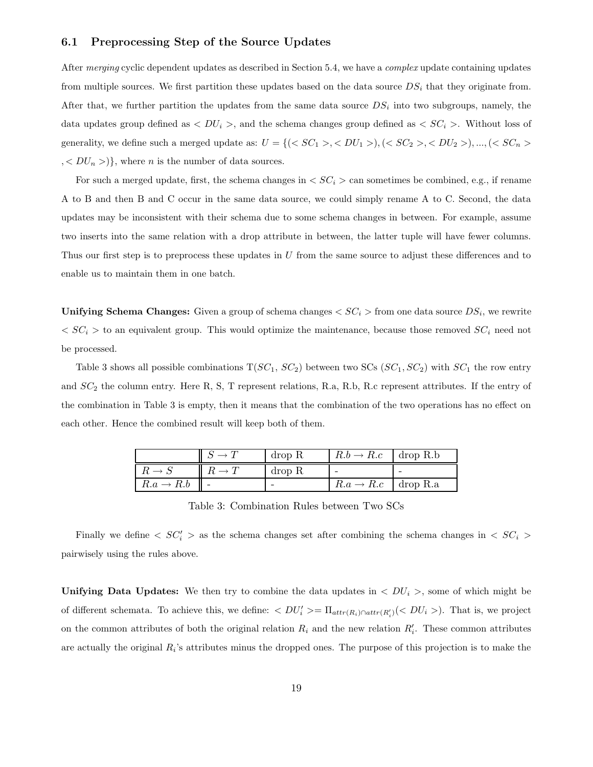### 6.1 Preprocessing Step of the Source Updates

After *merging* cyclic dependent updates as described in Section 5.4, we have a *complex* update containing updates from multiple sources. We first partition these updates based on the data source  $DS_i$  that they originate from. After that, we further partition the updates from the same data source  $DS_i$  into two subgroups, namely, the data updates group defined as  $\langle DU_i \rangle$ , and the schema changes group defined as  $\langle SC_i \rangle$ . Without loss of generality, we define such a merged update as:  $U = \{(, ), (, ), ..., ($  $, < DU_n >$ }, where *n* is the number of data sources.

For such a merged update, first, the schema changes in  $\langle SC_i \rangle$  can sometimes be combined, e.g., if rename A to B and then B and C occur in the same data source, we could simply rename A to C. Second, the data updates may be inconsistent with their schema due to some schema changes in between. For example, assume two inserts into the same relation with a drop attribute in between, the latter tuple will have fewer columns. Thus our first step is to preprocess these updates in U from the same source to adjust these differences and to enable us to maintain them in one batch.

**Unifying Schema Changes:** Given a group of schema changes  $\lt SC_i >$  from one data source  $DS_i$ , we rewrite  $\langle SC_i \rangle$  to an equivalent group. This would optimize the maintenance, because those removed  $SC_i$  need not be processed.

Table 3 shows all possible combinations  $T(SC_1, SC_2)$  between two SCs  $(SC_1, SC_2)$  with  $SC_1$  the row entry and  $SC_2$  the column entry. Here R, S, T represent relations, R.a, R.b, R.c represent attributes. If the entry of the combination in Table 3 is empty, then it means that the combination of the two operations has no effect on each other. Hence the combined result will keep both of them.

|                       | drop R | $R.b \rightarrow R.c$ drop R.b            |  |
|-----------------------|--------|-------------------------------------------|--|
| $\cdot$ $R = \cdot$   | drop R |                                           |  |
| $R.a \rightarrow R.b$ |        | $\overline{R.a} \rightarrow R.c$ drop R.a |  |

Table 3: Combination Rules between Two SCs

Finally we define  $\langle SC_i' \rangle$  as the schema changes set after combining the schema changes in  $\langle SC_i \rangle$ pairwisely using the rules above.

Unifying Data Updates: We then try to combine the data updates in  $\langle DU_i \rangle$ , some of which might be of different schemata. To achieve this, we define:  $\langle DU'_i \rangle = \prod_{attr(R_i) \cap attr(R'_i)} (\langle DU_i \rangle)$ . That is, we project on the common attributes of both the original relation  $R_i$  and the new relation  $R'_i$ . These common attributes are actually the original  $R_i$ 's attributes minus the dropped ones. The purpose of this projection is to make the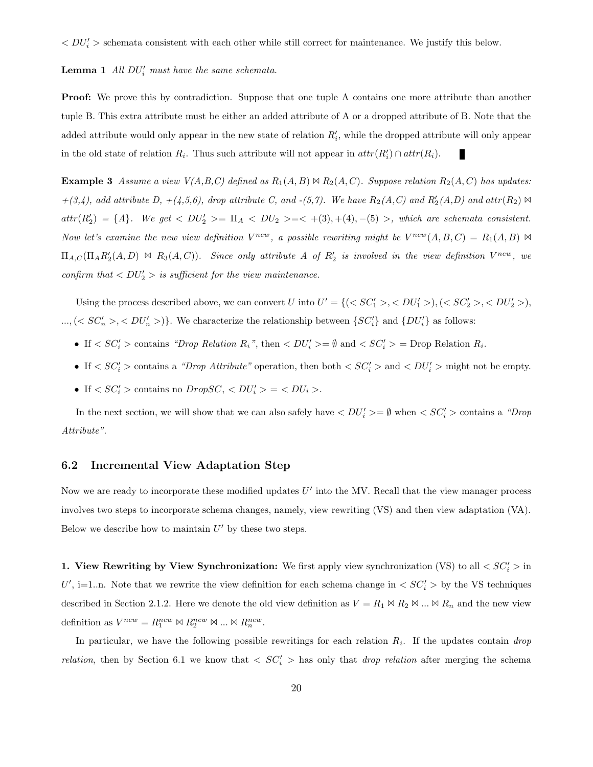$\langle DU_i' \rangle$  schemata consistent with each other while still correct for maintenance. We justify this below.

### **Lemma 1** All  $DU'_i$  must have the same schemata.

**Proof:** We prove this by contradiction. Suppose that one tuple A contains one more attribute than another tuple B. This extra attribute must be either an added attribute of A or a dropped attribute of B. Note that the added attribute would only appear in the new state of relation  $R_i'$ , while the dropped attribute will only appear in the old state of relation  $R_i$ . Thus such attribute will not appear in  $attr(R'_i) \cap attr(R_i)$ .

**Example 3** Assume a view  $V(A,B,C)$  defined as  $R_1(A,B) \bowtie R_2(A,C)$ . Suppose relation  $R_2(A,C)$  has updates:  $+(3,4)$ , add attribute D,  $+(4,5,6)$ , drop attribute C, and  $-(5,7)$ . We have  $R_2(A,C)$  and  $R'_2(A,D)$  and  $attr(R_2) \bowtie$  $attr(R'_2) = \{A\}$ . We get  $\langle DU'_2 \rangle = \Pi_A \langle DU_2 \rangle = \langle A(3), (4), (5) \rangle$ , which are schemata consistent. Now let's examine the new view definition  $V^{new}$ , a possible rewriting might be  $V^{new}(A, B, C) = R_1(A, B) \bowtie$  $\Pi_{A,C}(\Pi_{A}R'_{2}(A,D) \Join R_{3}(A,C)).$  Since only attribute A of  $R'_{2}$  is involved in the view definition  $V^{new}$ , we confirm that  $\langle DU_2' \rangle$  is sufficient for the view maintenance.

Using the process described above, we can convert U into  $U' = \{(, ), (, ),$  $\ldots, \langle S C'_n \rangle, \langle D U'_n \rangle$ . We characterize the relationship between  $\{SC'_i\}$  and  $\{DU'_i\}$  as follows:

- If  $\langle SC'_i \rangle$  contains "Drop Relation R<sub>i</sub>", then  $\langle DU'_i \rangle = \emptyset$  and  $\langle SC'_i \rangle = \text{Drop Relation } R_i$ .
- If  $\langle SC'_i \rangle$  contains a "Drop Attribute" operation, then both  $\langle SC'_i \rangle$  and  $\langle DU'_i \rangle$  might not be empty.
- If  $\langle SC'_i \rangle$  contains no  $DropSC, \langle DU'_i \rangle = \langle DU_i \rangle$ .

In the next section, we will show that we can also safely have  $\langle DU_i' \rangle = \emptyset$  when  $\langle SC_i' \rangle$  contains a "Drop" Attribute".

#### 6.2 Incremental View Adaptation Step

Now we are ready to incorporate these modified updates  $U'$  into the MV. Recall that the view manager process involves two steps to incorporate schema changes, namely, view rewriting (VS) and then view adaptation (VA). Below we describe how to maintain  $U'$  by these two steps.

1. View Rewriting by View Synchronization: We first apply view synchronization (VS) to all  $\langle SC'_i \rangle$  in U', i=1..n. Note that we rewrite the view definition for each schema change in  $\langle SC'_i \rangle$  by the VS techniques described in Section 2.1.2. Here we denote the old view definition as  $V = R_1 \bowtie R_2 \bowtie ... \bowtie R_n$  and the new view definition as  $V^{new} = R_1^{new} \bowtie R_2^{new} \bowtie ... \bowtie R_n^{new}$ .

In particular, we have the following possible rewritings for each relation  $R_i$ . If the updates contain *drop* relation, then by Section 6.1 we know that  $\langle SC'_i \rangle$  has only that *drop relation* after merging the schema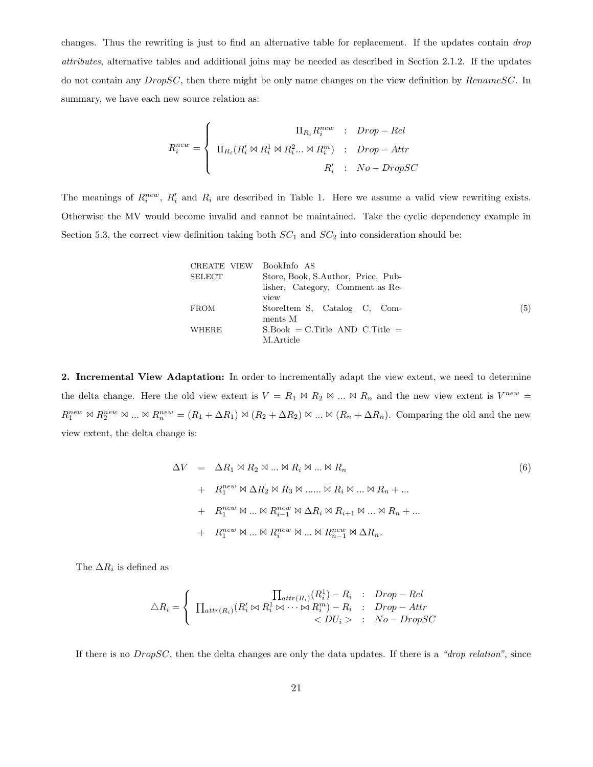changes. Thus the rewriting is just to find an alternative table for replacement. If the updates contain *drop* attributes, alternative tables and additional joins may be needed as described in Section 2.1.2. If the updates do not contain any *DropSC*, then there might be only name changes on the view definition by *RenameSC*. In summary, we have each new source relation as:

$$
R_i^{new} = \begin{cases} \n\text{II}_{R_i} R_i^{new} & : \quad Drop-Rel \\
\text{II}_{R_i} (R_i' \bowtie R_i^1 \bowtie R_i^2 \dots \bowtie R_i^m) & : \quad Drop-Attr \\
\text{II}_{R_i} & : \quad No-DropSC\n\end{cases}
$$

The meanings of  $R_i^{new}$ ,  $R_i'$  and  $R_i$  are described in Table 1. Here we assume a valid view rewriting exists. Otherwise the MV would become invalid and cannot be maintained. Take the cyclic dependency example in Section 5.3, the correct view definition taking both  $SC_1$  and  $SC_2$  into consideration should be:

| CREATE VIEW | - BookInfo - AS                    |     |
|-------------|------------------------------------|-----|
| SELECT      | Store, Book, S.Author, Price, Pub- |     |
|             | lisher, Category, Comment as Re-   |     |
|             | view                               |     |
| <b>FROM</b> | StoreItem S. Catalog C. Com-       | (5) |
|             | ments M                            |     |
| WHERE       | $S.Book = C.Title AND C.Title =$   |     |
|             | M.Article                          |     |

2. Incremental View Adaptation: In order to incrementally adapt the view extent, we need to determine the delta change. Here the old view extent is  $V = R_1 \bowtie R_2 \bowtie ... \bowtie R_n$  and the new view extent is  $V^{new} =$  $R_1^{new} \bowtie R_2^{new} \bowtie ... \bowtie R_n^{new} = (R_1 + \Delta R_1) \bowtie (R_2 + \Delta R_2) \bowtie ... \bowtie (R_n + \Delta R_n)$ . Comparing the old and the new view extent, the delta change is:

$$
\Delta V = \Delta R_1 \boxtimes R_2 \boxtimes \dots \boxtimes R_i \boxtimes \dots \boxtimes R_n
$$
  
+  $R_1^{new} \boxtimes \Delta R_2 \boxtimes R_3 \boxtimes \dots \boxtimes R_i \boxtimes \dots \boxtimes R_n + \dots$   
+  $R_1^{new} \boxtimes \dots \boxtimes R_{i-1}^{new} \boxtimes \Delta R_i \boxtimes R_{i+1} \boxtimes \dots \boxtimes R_n + \dots$   
+  $R_1^{new} \boxtimes \dots \boxtimes R_i^{new} \boxtimes \dots \boxtimes R_{n-1}^{new} \boxtimes \Delta R_n.$  (6)

The  $\Delta R_i$  is defined as

$$
\triangle R_i = \begin{cases} \n\prod_{attr(R_i)} (R_i^1) - R_i & \text{: } Drop-Rel \\
\prod_{attr(R_i)} (R_i^{\prime} \bowtie R_i^1 \bowtie \dots \bowtie R_i^m) - R_i & \text{: } Drop-Attr \\
 & < DU_i > \text{: } No-DropSC\n\end{cases}
$$

If there is no  $DropSC$ , then the delta changes are only the data updates. If there is a "drop relation", since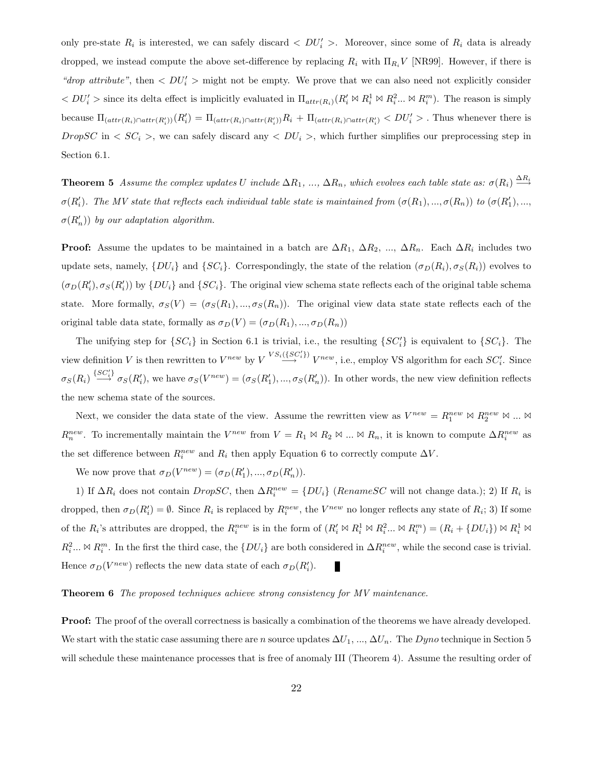only pre-state  $R_i$  is interested, we can safely discard  $\langle DU'_i \rangle$ . Moreover, since some of  $R_i$  data is already dropped, we instead compute the above set-difference by replacing  $R_i$  with  $\Pi_{R_i}V$  [NR99]. However, if there is "drop attribute", then  $\langle DU_i' \rangle$  might not be empty. We prove that we can also need not explicitly consider  $< DU'_i>$  since its delta effect is implicitly evaluated in  $\Pi_{attr(R_i)}(R'_i \bowtie R_i^1 \bowtie R_i^2 ... \bowtie R_i^m)$ . The reason is simply because  $\Pi_{(attr(R_i) \cap attr(R'_i))}(R'_i) = \Pi_{(attr(R_i) \cap attr(R'_i))}R_i + \Pi_{(attr(R_i) \cap attr(R'_i)} < DU'_i$ . Thus whenever there is DropSC in  $\langle SC_i \rangle$ , we can safely discard any  $\langle DU_i \rangle$ , which further simplifies our preprocessing step in Section 6.1.

**Theorem 5** Assume the complex updates U include  $\Delta R_1, ..., \Delta R_n$ , which evolves each table state as:  $\sigma(R_i) \stackrel{\Delta R_i}{\longrightarrow}$  $\sigma(R_i')$ . The MV state that reflects each individual table state is maintained from  $(\sigma(R_1),...,\sigma(R_n))$  to  $(\sigma(R_1'),...,\sigma(R_n))$  $\sigma(R'_n)$ ) by our adaptation algorithm.

**Proof:** Assume the updates to be maintained in a batch are  $\Delta R_1$ ,  $\Delta R_2$ , ...,  $\Delta R_n$ . Each  $\Delta R_i$  includes two update sets, namely,  $\{DU_i\}$  and  $\{SC_i\}$ . Correspondingly, the state of the relation  $(\sigma_D(R_i), \sigma_S(R_i))$  evolves to  $(\sigma_D(R'_i), \sigma_S(R'_i))$  by  $\{DU_i\}$  and  $\{SC_i\}$ . The original view schema state reflects each of the original table schema state. More formally,  $\sigma_S(V) = (\sigma_S(R_1), ..., \sigma_S(R_n))$ . The original view data state reflects each of the original table data state, formally as  $\sigma_D(V) = (\sigma_D(R_1), ..., \sigma_D(R_n))$ 

The unifying step for  $\{SC_i\}$  in Section 6.1 is trivial, i.e., the resulting  $\{SC'_i\}$  is equivalent to  $\{SC_i\}$ . The view definition V is then rewritten to  $V^{new}$  by  $V^{VS_i(\{SC_i'\})}$   $V^{new}$ , i.e., employ VS algorithm for each  $SC_i'$ . Since  $\sigma_S(R_i) \stackrel{\{SC'_i\}}{\longrightarrow} \sigma_S(R'_i)$ , we have  $\sigma_S(V^{new}) = (\sigma_S(R'_1), ..., \sigma_S(R'_n))$ . In other words, the new view definition reflects the new schema state of the sources.

Next, we consider the data state of the view. Assume the rewritten view as  $V^{new} = R_1^{new} \bowtie R_2^{new} \bowtie ... \bowtie$  $R_n^{new}$ . To incrementally maintain the  $V^{new}$  from  $V = R_1 \bowtie R_2 \bowtie ... \bowtie R_n$ , it is known to compute  $\Delta R_i^{new}$  as the set difference between  $R_i^{new}$  and  $R_i$  then apply Equation 6 to correctly compute  $\Delta V$ .

We now prove that  $\sigma_D(V^{new}) = (\sigma_D(R'_1), ..., \sigma_D(R'_n)).$ 

1) If  $\Delta R_i$  does not contain  $DropSC$ , then  $\Delta R_i^{new} = \{DU_i\}$  (RenameSC will not change data.); 2) If  $R_i$  is dropped, then  $\sigma_D(R'_i) = \emptyset$ . Since  $R_i$  is replaced by  $R_i^{new}$ , the  $V^{new}$  no longer reflects any state of  $R_i$ ; 3) If some of the  $R_i$ 's attributes are dropped, the  $R_i^{new}$  is in the form of  $(R_i' \bowtie R_i^1 \bowtie R_i^2 ... \bowtie R_i^m) = (R_i + \{DU_i\}) \bowtie R_i^1 \bowtie R_i^1$  $R_i^2... \bowtie R_i^m$ . In the first the third case, the  $\{DU_i\}$  are both considered in  $\Delta R_i^{new}$ , while the second case is trivial. Hence  $\sigma_D(V^{new})$  reflects the new data state of each  $\sigma_D(R'_i)$ .

#### Theorem 6 The proposed techniques achieve strong consistency for MV maintenance.

**Proof:** The proof of the overall correctness is basically a combination of the theorems we have already developed. We start with the static case assuming there are n source updates  $\Delta U_1, ..., \Delta U_n$ . The Dyno technique in Section 5 will schedule these maintenance processes that is free of anomaly III (Theorem 4). Assume the resulting order of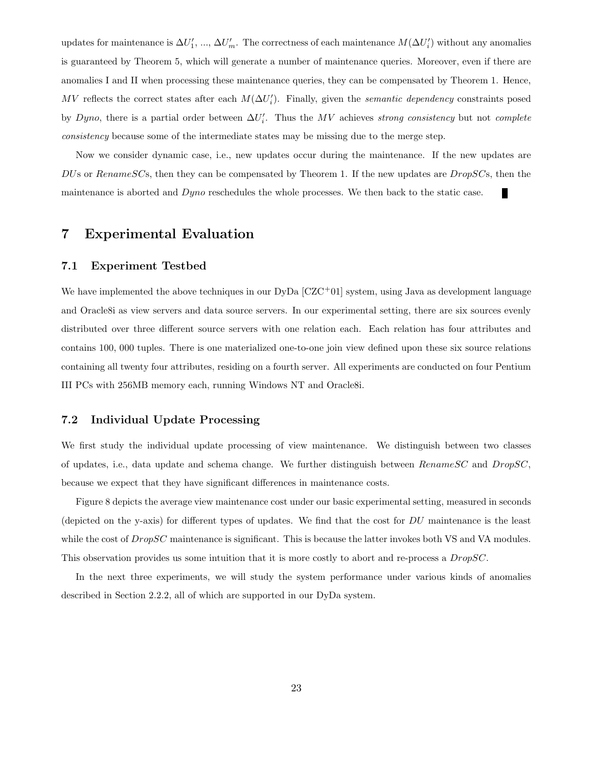updates for maintenance is  $\Delta U_1', ..., \Delta U_m'$ . The correctness of each maintenance  $M(\Delta U_i')$  without any anomalies is guaranteed by Theorem 5, which will generate a number of maintenance queries. Moreover, even if there are anomalies I and II when processing these maintenance queries, they can be compensated by Theorem 1. Hence, MV reflects the correct states after each  $M(\Delta U_i')$ . Finally, given the semantic dependency constraints posed by Dyno, there is a partial order between  $\Delta U_i'$ . Thus the MV achieves strong consistency but not complete consistency because some of the intermediate states may be missing due to the merge step.

Now we consider dynamic case, i.e., new updates occur during the maintenance. If the new updates are DUs or Rename SCs, then they can be compensated by Theorem 1. If the new updates are  $DropSCs$ , then the maintenance is aborted and *Dyno* reschedules the whole processes. We then back to the static case.

### 7 Experimental Evaluation

#### 7.1 Experiment Testbed

We have implemented the above techniques in our  $DyDa [CZC<sup>+</sup>01]$  system, using Java as development language and Oracle8i as view servers and data source servers. In our experimental setting, there are six sources evenly distributed over three different source servers with one relation each. Each relation has four attributes and contains 100, 000 tuples. There is one materialized one-to-one join view defined upon these six source relations containing all twenty four attributes, residing on a fourth server. All experiments are conducted on four Pentium III PCs with 256MB memory each, running Windows NT and Oracle8i.

### 7.2 Individual Update Processing

We first study the individual update processing of view maintenance. We distinguish between two classes of updates, i.e., data update and schema change. We further distinguish between  $RenameSC$  and  $DropSC$ , because we expect that they have significant differences in maintenance costs.

Figure 8 depicts the average view maintenance cost under our basic experimental setting, measured in seconds (depicted on the y-axis) for different types of updates. We find that the cost for DU maintenance is the least while the cost of  $DropSC$  maintenance is significant. This is because the latter invokes both VS and VA modules. This observation provides us some intuition that it is more costly to abort and re-process a *DropSC*.

In the next three experiments, we will study the system performance under various kinds of anomalies described in Section 2.2.2, all of which are supported in our DyDa system.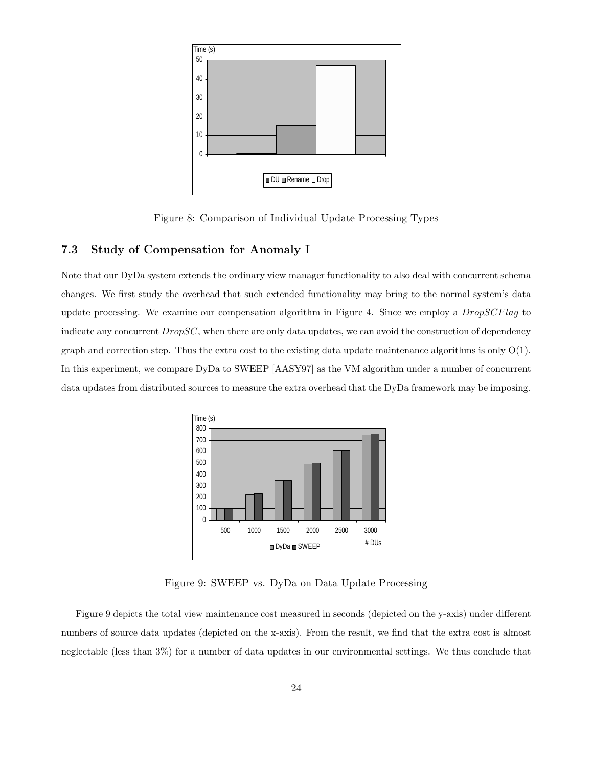

Figure 8: Comparison of Individual Update Processing Types

### 7.3 Study of Compensation for Anomaly I

Note that our DyDa system extends the ordinary view manager functionality to also deal with concurrent schema changes. We first study the overhead that such extended functionality may bring to the normal system's data update processing. We examine our compensation algorithm in Figure 4. Since we employ a *DropSCFlag* to indicate any concurrent  $DropSC$ , when there are only data updates, we can avoid the construction of dependency graph and correction step. Thus the extra cost to the existing data update maintenance algorithms is only O(1). In this experiment, we compare DyDa to SWEEP [AASY97] as the VM algorithm under a number of concurrent data updates from distributed sources to measure the extra overhead that the DyDa framework may be imposing.



Figure 9: SWEEP vs. DyDa on Data Update Processing

Figure 9 depicts the total view maintenance cost measured in seconds (depicted on the y-axis) under different numbers of source data updates (depicted on the x-axis). From the result, we find that the extra cost is almost neglectable (less than 3%) for a number of data updates in our environmental settings. We thus conclude that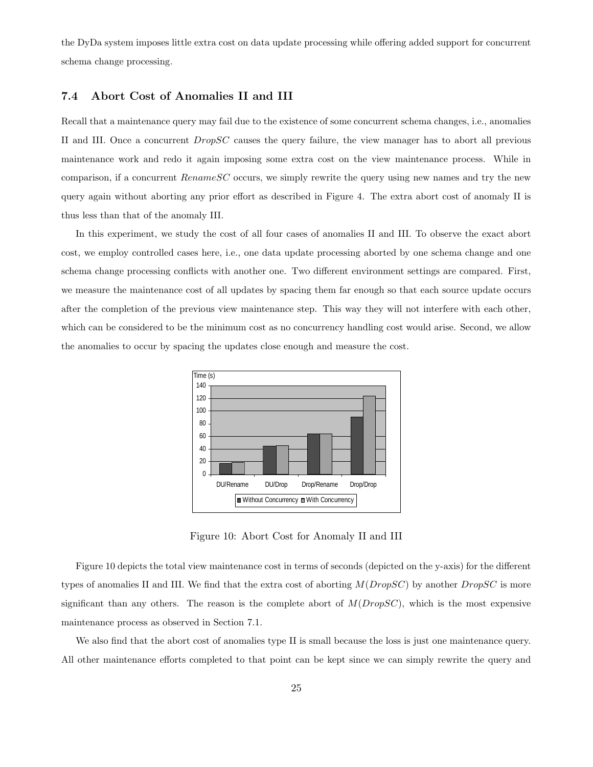the DyDa system imposes little extra cost on data update processing while offering added support for concurrent schema change processing.

### 7.4 Abort Cost of Anomalies II and III

Recall that a maintenance query may fail due to the existence of some concurrent schema changes, i.e., anomalies II and III. Once a concurrent DropSC causes the query failure, the view manager has to abort all previous maintenance work and redo it again imposing some extra cost on the view maintenance process. While in comparison, if a concurrent  $RenameSC$  occurs, we simply rewrite the query using new names and try the new query again without aborting any prior effort as described in Figure 4. The extra abort cost of anomaly II is thus less than that of the anomaly III.

In this experiment, we study the cost of all four cases of anomalies II and III. To observe the exact abort cost, we employ controlled cases here, i.e., one data update processing aborted by one schema change and one schema change processing conflicts with another one. Two different environment settings are compared. First, we measure the maintenance cost of all updates by spacing them far enough so that each source update occurs after the completion of the previous view maintenance step. This way they will not interfere with each other, which can be considered to be the minimum cost as no concurrency handling cost would arise. Second, we allow the anomalies to occur by spacing the updates close enough and measure the cost.



Figure 10: Abort Cost for Anomaly II and III

Figure 10 depicts the total view maintenance cost in terms of seconds (depicted on the y-axis) for the different types of anomalies II and III. We find that the extra cost of aborting  $M(DropSC)$  by another  $DropSC$  is more significant than any others. The reason is the complete abort of  $M(DropSC)$ , which is the most expensive maintenance process as observed in Section 7.1.

We also find that the abort cost of anomalies type II is small because the loss is just one maintenance query. All other maintenance efforts completed to that point can be kept since we can simply rewrite the query and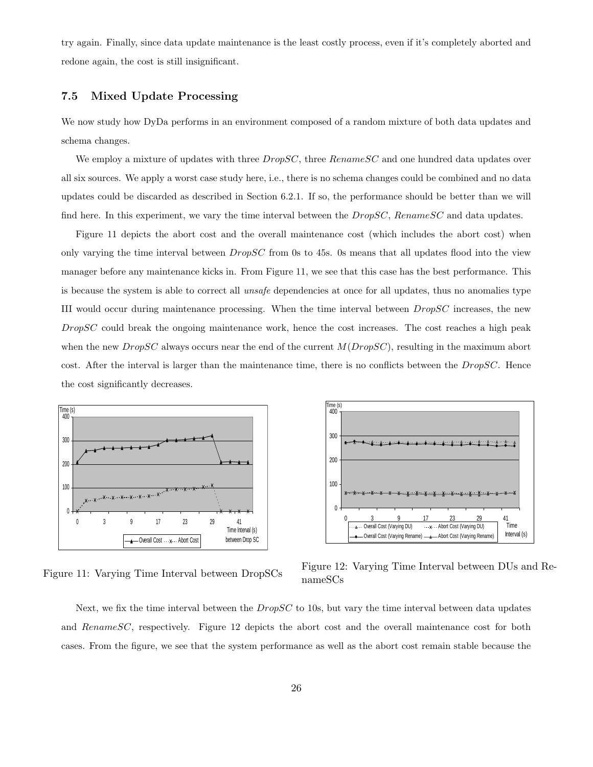try again. Finally, since data update maintenance is the least costly process, even if it's completely aborted and redone again, the cost is still insignificant.

### 7.5 Mixed Update Processing

We now study how DyDa performs in an environment composed of a random mixture of both data updates and schema changes.

We employ a mixture of updates with three  $DropSC$ , three  $RenameSC$  and one hundred data updates over all six sources. We apply a worst case study here, i.e., there is no schema changes could be combined and no data updates could be discarded as described in Section 6.2.1. If so, the performance should be better than we will find here. In this experiment, we vary the time interval between the  $DropSC$ , Rename  $SC$  and data updates.

Figure 11 depicts the abort cost and the overall maintenance cost (which includes the abort cost) when only varying the time interval between DropSC from 0s to 45s. 0s means that all updates flood into the view manager before any maintenance kicks in. From Figure 11, we see that this case has the best performance. This is because the system is able to correct all unsafe dependencies at once for all updates, thus no anomalies type III would occur during maintenance processing. When the time interval between DropSC increases, the new  $DropSC$  could break the ongoing maintenance work, hence the cost increases. The cost reaches a high peak when the new  $DropSC$  always occurs near the end of the current  $M(DropSC)$ , resulting in the maximum abort cost. After the interval is larger than the maintenance time, there is no conflicts between the  $DropSC$ . Hence the cost significantly decreases.



Figure 11: Varying Time Interval between DropSCs



Figure 12: Varying Time Interval between DUs and RenameSCs

Next, we fix the time interval between the  $DropSC$  to 10s, but vary the time interval between data updates and RenameSC, respectively. Figure 12 depicts the abort cost and the overall maintenance cost for both cases. From the figure, we see that the system performance as well as the abort cost remain stable because the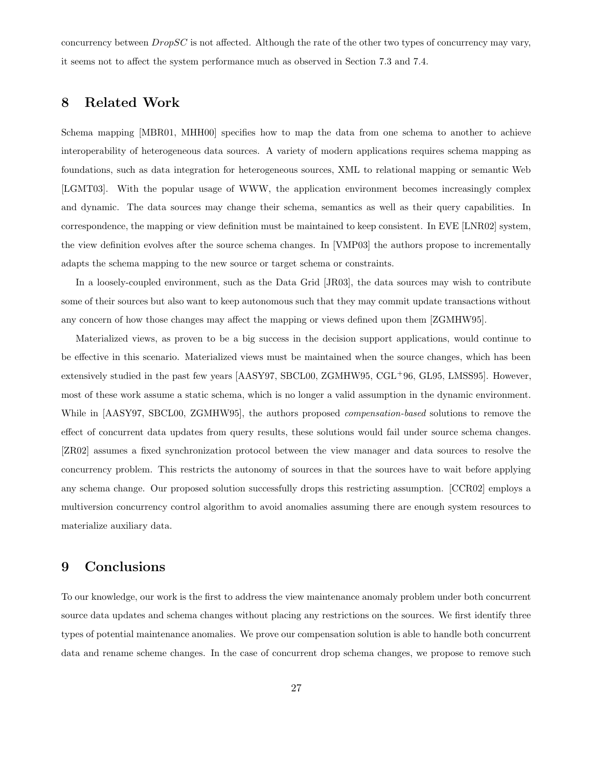concurrency between  $DropSC$  is not affected. Although the rate of the other two types of concurrency may vary, it seems not to affect the system performance much as observed in Section 7.3 and 7.4.

# 8 Related Work

Schema mapping [MBR01, MHH00] specifies how to map the data from one schema to another to achieve interoperability of heterogeneous data sources. A variety of modern applications requires schema mapping as foundations, such as data integration for heterogeneous sources, XML to relational mapping or semantic Web [LGMT03]. With the popular usage of WWW, the application environment becomes increasingly complex and dynamic. The data sources may change their schema, semantics as well as their query capabilities. In correspondence, the mapping or view definition must be maintained to keep consistent. In EVE [LNR02] system, the view definition evolves after the source schema changes. In [VMP03] the authors propose to incrementally adapts the schema mapping to the new source or target schema or constraints.

In a loosely-coupled environment, such as the Data Grid [JR03], the data sources may wish to contribute some of their sources but also want to keep autonomous such that they may commit update transactions without any concern of how those changes may affect the mapping or views defined upon them [ZGMHW95].

Materialized views, as proven to be a big success in the decision support applications, would continue to be effective in this scenario. Materialized views must be maintained when the source changes, which has been extensively studied in the past few years [AASY97, SBCL00, ZGMHW95,  $CGL^{+}96$ , GL95, LMSS95]. However, most of these work assume a static schema, which is no longer a valid assumption in the dynamic environment. While in [AASY97, SBCL00, ZGMHW95], the authors proposed *compensation-based* solutions to remove the effect of concurrent data updates from query results, these solutions would fail under source schema changes. [ZR02] assumes a fixed synchronization protocol between the view manager and data sources to resolve the concurrency problem. This restricts the autonomy of sources in that the sources have to wait before applying any schema change. Our proposed solution successfully drops this restricting assumption. [CCR02] employs a multiversion concurrency control algorithm to avoid anomalies assuming there are enough system resources to materialize auxiliary data.

# 9 Conclusions

To our knowledge, our work is the first to address the view maintenance anomaly problem under both concurrent source data updates and schema changes without placing any restrictions on the sources. We first identify three types of potential maintenance anomalies. We prove our compensation solution is able to handle both concurrent data and rename scheme changes. In the case of concurrent drop schema changes, we propose to remove such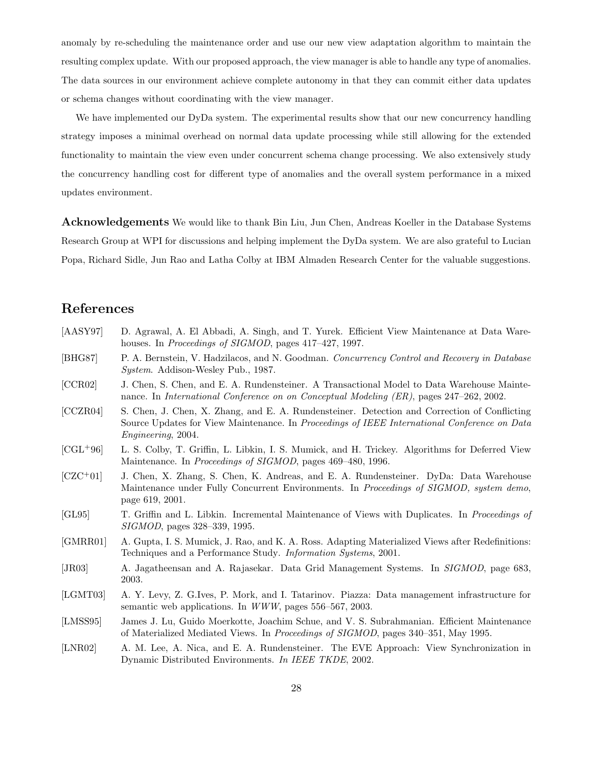anomaly by re-scheduling the maintenance order and use our new view adaptation algorithm to maintain the resulting complex update. With our proposed approach, the view manager is able to handle any type of anomalies. The data sources in our environment achieve complete autonomy in that they can commit either data updates or schema changes without coordinating with the view manager.

We have implemented our DyDa system. The experimental results show that our new concurrency handling strategy imposes a minimal overhead on normal data update processing while still allowing for the extended functionality to maintain the view even under concurrent schema change processing. We also extensively study the concurrency handling cost for different type of anomalies and the overall system performance in a mixed updates environment.

Acknowledgements We would like to thank Bin Liu, Jun Chen, Andreas Koeller in the Database Systems Research Group at WPI for discussions and helping implement the DyDa system. We are also grateful to Lucian Popa, Richard Sidle, Jun Rao and Latha Colby at IBM Almaden Research Center for the valuable suggestions.

# References

| $[{\rm AASY97}]$ | D. Agrawal, A. El Abbadi, A. Singh, and T. Yurek. Efficient View Maintenance at Data Ware-<br>houses. In Proceedings of SIGMOD, pages 417-427, 1997.                                                                       |
|------------------|----------------------------------------------------------------------------------------------------------------------------------------------------------------------------------------------------------------------------|
| [BHG87]          | P. A. Bernstein, V. Hadzilacos, and N. Goodman. Concurrency Control and Recovery in Database<br>System. Addison-Wesley Pub., 1987.                                                                                         |
| [CCR02]          | J. Chen, S. Chen, and E. A. Rundensteiner. A Transactional Model to Data Warehouse Mainte-<br>nance. In International Conference on on Conceptual Modeling (ER), pages 247-262, 2002.                                      |
| [CCZR04]         | S. Chen, J. Chen, X. Zhang, and E. A. Rundensteiner. Detection and Correction of Conflicting<br>Source Updates for View Maintenance. In Proceedings of IEEE International Conference on Data<br><i>Engineering</i> , 2004. |
| $[CL+96]$        | L. S. Colby, T. Griffin, L. Libkin, I. S. Mumick, and H. Trickey. Algorithms for Deferred View<br>Maintenance. In Proceedings of SIGMOD, pages 469-480, 1996.                                                              |
| $[CZC+01]$       | J. Chen, X. Zhang, S. Chen, K. Andreas, and E. A. Rundensteiner. DyDa: Data Warehouse<br>Maintenance under Fully Concurrent Environments. In Proceedings of SIGMOD, system demo,<br>page 619, 2001.                        |
| [GL95]           | T. Griffin and L. Libkin. Incremental Maintenance of Views with Duplicates. In Proceedings of<br><i>SIGMOD</i> , pages 328-339, 1995.                                                                                      |
| [GMRR01]         | A. Gupta, I. S. Mumick, J. Rao, and K. A. Ross. Adapting Materialized Views after Redefinitions:<br>Techniques and a Performance Study. Information Systems, 2001.                                                         |
| [JR03]           | A. Jagatheensan and A. Rajasekar. Data Grid Management Systems. In SIGMOD, page 683,<br>2003.                                                                                                                              |
| [LGMT03]         | A. Y. Levy, Z. G.Ives, P. Mork, and I. Tatarinov. Piazza: Data management infrastructure for<br>semantic web applications. In WWW, pages 556-567, 2003.                                                                    |
| [LMSS95]         | James J. Lu, Guido Moerkotte, Joachim Schue, and V. S. Subrahmanian. Efficient Maintenance<br>of Materialized Mediated Views. In Proceedings of SIGMOD, pages 340–351, May 1995.                                           |
| [LNR02]          | A. M. Lee, A. Nica, and E. A. Rundensteiner. The EVE Approach: View Synchronization in<br>Dynamic Distributed Environments. In IEEE TKDE, 2002.                                                                            |